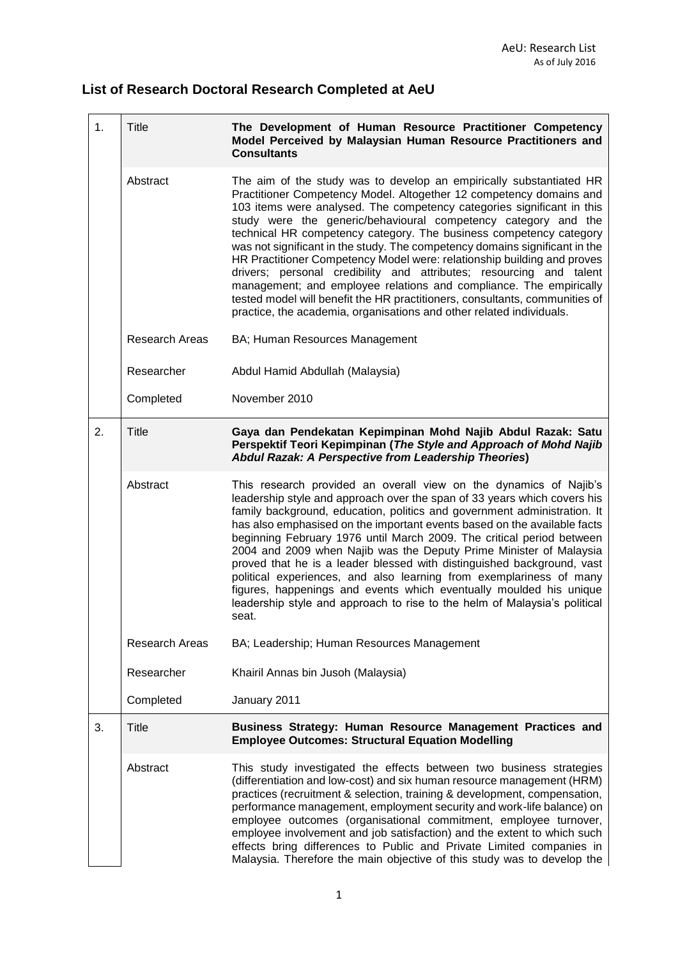## **List of Research Doctoral Research Completed at AeU**

| 1. | <b>Title</b>          | The Development of Human Resource Practitioner Competency<br>Model Perceived by Malaysian Human Resource Practitioners and<br><b>Consultants</b>                                                                                                                                                                                                                                                                                                                                                                                                                                                                                                                                                                                                                                                                           |
|----|-----------------------|----------------------------------------------------------------------------------------------------------------------------------------------------------------------------------------------------------------------------------------------------------------------------------------------------------------------------------------------------------------------------------------------------------------------------------------------------------------------------------------------------------------------------------------------------------------------------------------------------------------------------------------------------------------------------------------------------------------------------------------------------------------------------------------------------------------------------|
|    | Abstract              | The aim of the study was to develop an empirically substantiated HR<br>Practitioner Competency Model. Altogether 12 competency domains and<br>103 items were analysed. The competency categories significant in this<br>study were the generic/behavioural competency category and the<br>technical HR competency category. The business competency category<br>was not significant in the study. The competency domains significant in the<br>HR Practitioner Competency Model were: relationship building and proves<br>drivers; personal credibility and attributes; resourcing and talent<br>management; and employee relations and compliance. The empirically<br>tested model will benefit the HR practitioners, consultants, communities of<br>practice, the academia, organisations and other related individuals. |
|    | <b>Research Areas</b> | BA; Human Resources Management                                                                                                                                                                                                                                                                                                                                                                                                                                                                                                                                                                                                                                                                                                                                                                                             |
|    | Researcher            | Abdul Hamid Abdullah (Malaysia)                                                                                                                                                                                                                                                                                                                                                                                                                                                                                                                                                                                                                                                                                                                                                                                            |
|    | Completed             | November 2010                                                                                                                                                                                                                                                                                                                                                                                                                                                                                                                                                                                                                                                                                                                                                                                                              |
| 2. | Title                 | Gaya dan Pendekatan Kepimpinan Mohd Najib Abdul Razak: Satu<br>Perspektif Teori Kepimpinan (The Style and Approach of Mohd Najib<br>Abdul Razak: A Perspective from Leadership Theories)                                                                                                                                                                                                                                                                                                                                                                                                                                                                                                                                                                                                                                   |
|    | Abstract              | This research provided an overall view on the dynamics of Najib's<br>leadership style and approach over the span of 33 years which covers his<br>family background, education, politics and government administration. It<br>has also emphasised on the important events based on the available facts<br>beginning February 1976 until March 2009. The critical period between<br>2004 and 2009 when Najib was the Deputy Prime Minister of Malaysia<br>proved that he is a leader blessed with distinguished background, vast<br>political experiences, and also learning from exemplariness of many<br>figures, happenings and events which eventually moulded his unique<br>leadership style and approach to rise to the helm of Malaysia's political<br>seat.                                                          |
|    | Research Areas        | BA; Leadership; Human Resources Management                                                                                                                                                                                                                                                                                                                                                                                                                                                                                                                                                                                                                                                                                                                                                                                 |
|    | Researcher            | Khairil Annas bin Jusoh (Malaysia)                                                                                                                                                                                                                                                                                                                                                                                                                                                                                                                                                                                                                                                                                                                                                                                         |
|    | Completed             | January 2011                                                                                                                                                                                                                                                                                                                                                                                                                                                                                                                                                                                                                                                                                                                                                                                                               |
| 3. | Title                 | Business Strategy: Human Resource Management Practices and<br><b>Employee Outcomes: Structural Equation Modelling</b>                                                                                                                                                                                                                                                                                                                                                                                                                                                                                                                                                                                                                                                                                                      |
|    | Abstract              | This study investigated the effects between two business strategies<br>(differentiation and low-cost) and six human resource management (HRM)<br>practices (recruitment & selection, training & development, compensation,<br>performance management, employment security and work-life balance) on<br>employee outcomes (organisational commitment, employee turnover,<br>employee involvement and job satisfaction) and the extent to which such<br>effects bring differences to Public and Private Limited companies in<br>Malaysia. Therefore the main objective of this study was to develop the                                                                                                                                                                                                                      |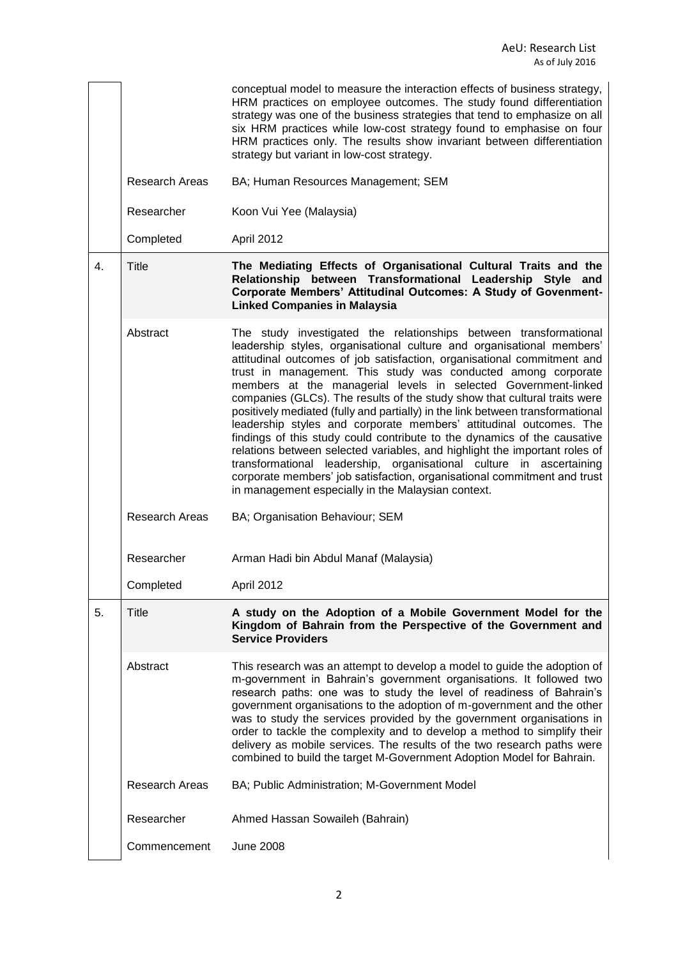|    |                       | conceptual model to measure the interaction effects of business strategy,<br>HRM practices on employee outcomes. The study found differentiation<br>strategy was one of the business strategies that tend to emphasize on all<br>six HRM practices while low-cost strategy found to emphasise on four<br>HRM practices only. The results show invariant between differentiation<br>strategy but variant in low-cost strategy.                                                                                                                                                                                                                                                                                                                                                                                                                                                                                                                                    |
|----|-----------------------|------------------------------------------------------------------------------------------------------------------------------------------------------------------------------------------------------------------------------------------------------------------------------------------------------------------------------------------------------------------------------------------------------------------------------------------------------------------------------------------------------------------------------------------------------------------------------------------------------------------------------------------------------------------------------------------------------------------------------------------------------------------------------------------------------------------------------------------------------------------------------------------------------------------------------------------------------------------|
|    | <b>Research Areas</b> | BA; Human Resources Management; SEM                                                                                                                                                                                                                                                                                                                                                                                                                                                                                                                                                                                                                                                                                                                                                                                                                                                                                                                              |
|    | Researcher            | Koon Vui Yee (Malaysia)                                                                                                                                                                                                                                                                                                                                                                                                                                                                                                                                                                                                                                                                                                                                                                                                                                                                                                                                          |
|    | Completed             | April 2012                                                                                                                                                                                                                                                                                                                                                                                                                                                                                                                                                                                                                                                                                                                                                                                                                                                                                                                                                       |
| 4. | <b>Title</b>          | The Mediating Effects of Organisational Cultural Traits and the<br>Relationship between Transformational Leadership Style and<br>Corporate Members' Attitudinal Outcomes: A Study of Govenment-<br><b>Linked Companies in Malaysia</b>                                                                                                                                                                                                                                                                                                                                                                                                                                                                                                                                                                                                                                                                                                                           |
|    | Abstract              | The study investigated the relationships between transformational<br>leadership styles, organisational culture and organisational members'<br>attitudinal outcomes of job satisfaction, organisational commitment and<br>trust in management. This study was conducted among corporate<br>members at the managerial levels in selected Government-linked<br>companies (GLCs). The results of the study show that cultural traits were<br>positively mediated (fully and partially) in the link between transformational<br>leadership styles and corporate members' attitudinal outcomes. The<br>findings of this study could contribute to the dynamics of the causative<br>relations between selected variables, and highlight the important roles of<br>transformational leadership, organisational culture in ascertaining<br>corporate members' job satisfaction, organisational commitment and trust<br>in management especially in the Malaysian context. |
|    | Research Areas        | BA; Organisation Behaviour; SEM                                                                                                                                                                                                                                                                                                                                                                                                                                                                                                                                                                                                                                                                                                                                                                                                                                                                                                                                  |
|    | Researcher            | Arman Hadi bin Abdul Manaf (Malaysia)                                                                                                                                                                                                                                                                                                                                                                                                                                                                                                                                                                                                                                                                                                                                                                                                                                                                                                                            |
|    | Completed             | April 2012                                                                                                                                                                                                                                                                                                                                                                                                                                                                                                                                                                                                                                                                                                                                                                                                                                                                                                                                                       |
| 5. | <b>Title</b>          | A study on the Adoption of a Mobile Government Model for the<br>Kingdom of Bahrain from the Perspective of the Government and<br><b>Service Providers</b>                                                                                                                                                                                                                                                                                                                                                                                                                                                                                                                                                                                                                                                                                                                                                                                                        |
|    | Abstract              | This research was an attempt to develop a model to guide the adoption of<br>m-government in Bahrain's government organisations. It followed two<br>research paths: one was to study the level of readiness of Bahrain's<br>government organisations to the adoption of m-government and the other<br>was to study the services provided by the government organisations in<br>order to tackle the complexity and to develop a method to simplify their<br>delivery as mobile services. The results of the two research paths were<br>combined to build the target M-Government Adoption Model for Bahrain.                                                                                                                                                                                                                                                                                                                                                       |
|    | <b>Research Areas</b> | BA; Public Administration; M-Government Model                                                                                                                                                                                                                                                                                                                                                                                                                                                                                                                                                                                                                                                                                                                                                                                                                                                                                                                    |
|    | Researcher            | Ahmed Hassan Sowaileh (Bahrain)                                                                                                                                                                                                                                                                                                                                                                                                                                                                                                                                                                                                                                                                                                                                                                                                                                                                                                                                  |
|    | Commencement          | <b>June 2008</b>                                                                                                                                                                                                                                                                                                                                                                                                                                                                                                                                                                                                                                                                                                                                                                                                                                                                                                                                                 |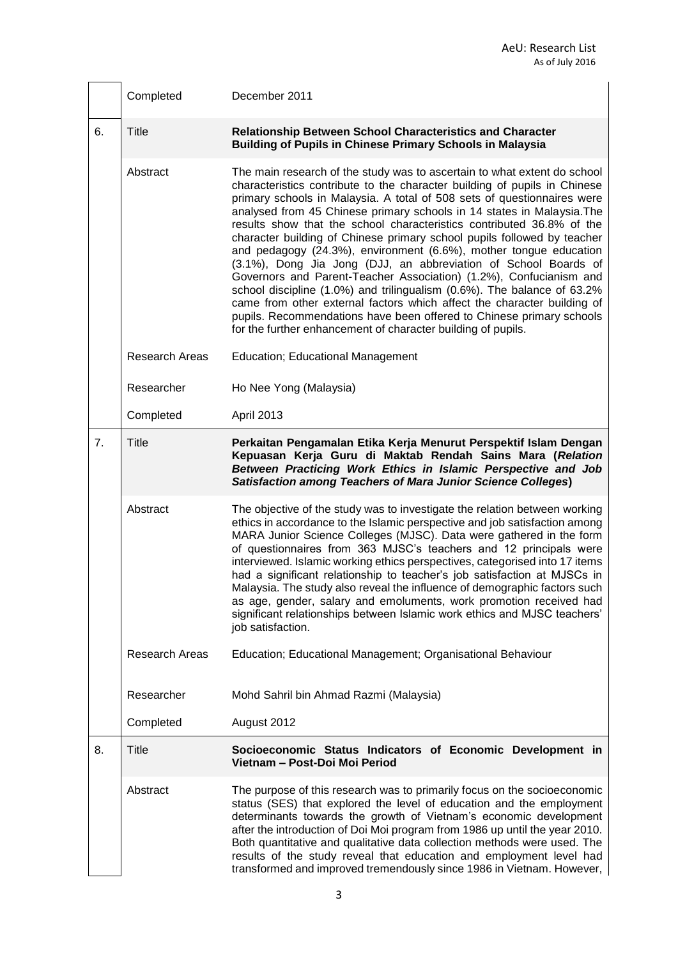|    | Completed             | December 2011                                                                                                                                                                                                                                                                                                                                                                                                                                                                                                                                                                                                                                                                                                                                                                                                                                                                                                                                                              |
|----|-----------------------|----------------------------------------------------------------------------------------------------------------------------------------------------------------------------------------------------------------------------------------------------------------------------------------------------------------------------------------------------------------------------------------------------------------------------------------------------------------------------------------------------------------------------------------------------------------------------------------------------------------------------------------------------------------------------------------------------------------------------------------------------------------------------------------------------------------------------------------------------------------------------------------------------------------------------------------------------------------------------|
| 6. | <b>Title</b>          | <b>Relationship Between School Characteristics and Character</b><br><b>Building of Pupils in Chinese Primary Schools in Malaysia</b>                                                                                                                                                                                                                                                                                                                                                                                                                                                                                                                                                                                                                                                                                                                                                                                                                                       |
|    | Abstract              | The main research of the study was to ascertain to what extent do school<br>characteristics contribute to the character building of pupils in Chinese<br>primary schools in Malaysia. A total of 508 sets of questionnaires were<br>analysed from 45 Chinese primary schools in 14 states in Malaysia. The<br>results show that the school characteristics contributed 36.8% of the<br>character building of Chinese primary school pupils followed by teacher<br>and pedagogy (24.3%), environment (6.6%), mother tongue education<br>(3.1%), Dong Jia Jong (DJJ, an abbreviation of School Boards of<br>Governors and Parent-Teacher Association) (1.2%), Confucianism and<br>school discipline (1.0%) and trilingualism (0.6%). The balance of 63.2%<br>came from other external factors which affect the character building of<br>pupils. Recommendations have been offered to Chinese primary schools<br>for the further enhancement of character building of pupils. |
|    | <b>Research Areas</b> | Education; Educational Management                                                                                                                                                                                                                                                                                                                                                                                                                                                                                                                                                                                                                                                                                                                                                                                                                                                                                                                                          |
|    | Researcher            | Ho Nee Yong (Malaysia)                                                                                                                                                                                                                                                                                                                                                                                                                                                                                                                                                                                                                                                                                                                                                                                                                                                                                                                                                     |
|    | Completed             | April 2013                                                                                                                                                                                                                                                                                                                                                                                                                                                                                                                                                                                                                                                                                                                                                                                                                                                                                                                                                                 |
| 7. | <b>Title</b>          | Perkaitan Pengamalan Etika Kerja Menurut Perspektif Islam Dengan<br>Kepuasan Kerja Guru di Maktab Rendah Sains Mara (Relation<br>Between Practicing Work Ethics in Islamic Perspective and Job<br><b>Satisfaction among Teachers of Mara Junior Science Colleges)</b>                                                                                                                                                                                                                                                                                                                                                                                                                                                                                                                                                                                                                                                                                                      |
|    | Abstract              | The objective of the study was to investigate the relation between working<br>ethics in accordance to the Islamic perspective and job satisfaction among<br>MARA Junior Science Colleges (MJSC). Data were gathered in the form<br>of questionnaires from 363 MJSC's teachers and 12 principals were<br>interviewed. Islamic working ethics perspectives, categorised into 17 items<br>had a significant relationship to teacher's job satisfaction at MJSCs in<br>Malaysia. The study also reveal the influence of demographic factors such<br>as age, gender, salary and emoluments, work promotion received had<br>significant relationships between Islamic work ethics and MJSC teachers'<br>job satisfaction.                                                                                                                                                                                                                                                        |
|    | <b>Research Areas</b> | Education; Educational Management; Organisational Behaviour                                                                                                                                                                                                                                                                                                                                                                                                                                                                                                                                                                                                                                                                                                                                                                                                                                                                                                                |
|    | Researcher            | Mohd Sahril bin Ahmad Razmi (Malaysia)                                                                                                                                                                                                                                                                                                                                                                                                                                                                                                                                                                                                                                                                                                                                                                                                                                                                                                                                     |
|    | Completed             | August 2012                                                                                                                                                                                                                                                                                                                                                                                                                                                                                                                                                                                                                                                                                                                                                                                                                                                                                                                                                                |
| 8. | <b>Title</b>          | Socioeconomic Status Indicators of Economic Development in<br>Vietnam - Post-Doi Moi Period                                                                                                                                                                                                                                                                                                                                                                                                                                                                                                                                                                                                                                                                                                                                                                                                                                                                                |
|    | Abstract              | The purpose of this research was to primarily focus on the socioeconomic<br>status (SES) that explored the level of education and the employment<br>determinants towards the growth of Vietnam's economic development<br>after the introduction of Doi Moi program from 1986 up until the year 2010.<br>Both quantitative and qualitative data collection methods were used. The<br>results of the study reveal that education and employment level had<br>transformed and improved tremendously since 1986 in Vietnam. However,                                                                                                                                                                                                                                                                                                                                                                                                                                           |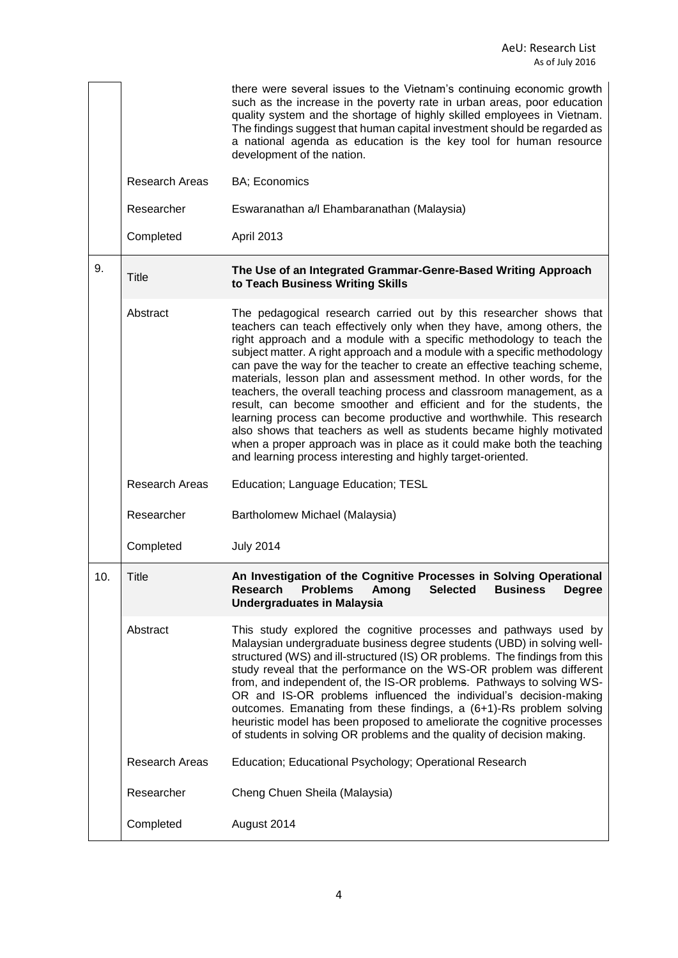|     |                       | there were several issues to the Vietnam's continuing economic growth<br>such as the increase in the poverty rate in urban areas, poor education<br>quality system and the shortage of highly skilled employees in Vietnam.<br>The findings suggest that human capital investment should be regarded as<br>a national agenda as education is the key tool for human resource<br>development of the nation.                                                                                                                                                                                                                                                                                                                                                                                                                                                                                      |
|-----|-----------------------|-------------------------------------------------------------------------------------------------------------------------------------------------------------------------------------------------------------------------------------------------------------------------------------------------------------------------------------------------------------------------------------------------------------------------------------------------------------------------------------------------------------------------------------------------------------------------------------------------------------------------------------------------------------------------------------------------------------------------------------------------------------------------------------------------------------------------------------------------------------------------------------------------|
|     | <b>Research Areas</b> | BA; Economics                                                                                                                                                                                                                                                                                                                                                                                                                                                                                                                                                                                                                                                                                                                                                                                                                                                                                   |
|     | Researcher            | Eswaranathan a/l Ehambaranathan (Malaysia)                                                                                                                                                                                                                                                                                                                                                                                                                                                                                                                                                                                                                                                                                                                                                                                                                                                      |
|     | Completed             | April 2013                                                                                                                                                                                                                                                                                                                                                                                                                                                                                                                                                                                                                                                                                                                                                                                                                                                                                      |
| 9.  | Title                 | The Use of an Integrated Grammar-Genre-Based Writing Approach<br>to Teach Business Writing Skills                                                                                                                                                                                                                                                                                                                                                                                                                                                                                                                                                                                                                                                                                                                                                                                               |
|     | Abstract              | The pedagogical research carried out by this researcher shows that<br>teachers can teach effectively only when they have, among others, the<br>right approach and a module with a specific methodology to teach the<br>subject matter. A right approach and a module with a specific methodology<br>can pave the way for the teacher to create an effective teaching scheme,<br>materials, lesson plan and assessment method. In other words, for the<br>teachers, the overall teaching process and classroom management, as a<br>result, can become smoother and efficient and for the students, the<br>learning process can become productive and worthwhile. This research<br>also shows that teachers as well as students became highly motivated<br>when a proper approach was in place as it could make both the teaching<br>and learning process interesting and highly target-oriented. |
|     | Research Areas        | Education; Language Education; TESL                                                                                                                                                                                                                                                                                                                                                                                                                                                                                                                                                                                                                                                                                                                                                                                                                                                             |
|     | Researcher            | Bartholomew Michael (Malaysia)                                                                                                                                                                                                                                                                                                                                                                                                                                                                                                                                                                                                                                                                                                                                                                                                                                                                  |
|     | Completed             | <b>July 2014</b>                                                                                                                                                                                                                                                                                                                                                                                                                                                                                                                                                                                                                                                                                                                                                                                                                                                                                |
| 10. | Title                 | An Investigation of the Cognitive Processes in Solving Operational<br><b>Problems Among Selected Business</b><br>Research<br>Degree<br><b>Undergraduates in Malaysia</b>                                                                                                                                                                                                                                                                                                                                                                                                                                                                                                                                                                                                                                                                                                                        |
|     | Abstract              | This study explored the cognitive processes and pathways used by<br>Malaysian undergraduate business degree students (UBD) in solving well-<br>structured (WS) and ill-structured (IS) OR problems. The findings from this<br>study reveal that the performance on the WS-OR problem was different<br>from, and independent of, the IS-OR problems. Pathways to solving WS-<br>OR and IS-OR problems influenced the individual's decision-making<br>outcomes. Emanating from these findings, a (6+1)-Rs problem solving<br>heuristic model has been proposed to ameliorate the cognitive processes<br>of students in solving OR problems and the quality of decision making.                                                                                                                                                                                                                    |
|     | Research Areas        | Education; Educational Psychology; Operational Research                                                                                                                                                                                                                                                                                                                                                                                                                                                                                                                                                                                                                                                                                                                                                                                                                                         |
|     | Researcher            | Cheng Chuen Sheila (Malaysia)                                                                                                                                                                                                                                                                                                                                                                                                                                                                                                                                                                                                                                                                                                                                                                                                                                                                   |
|     | Completed             | August 2014                                                                                                                                                                                                                                                                                                                                                                                                                                                                                                                                                                                                                                                                                                                                                                                                                                                                                     |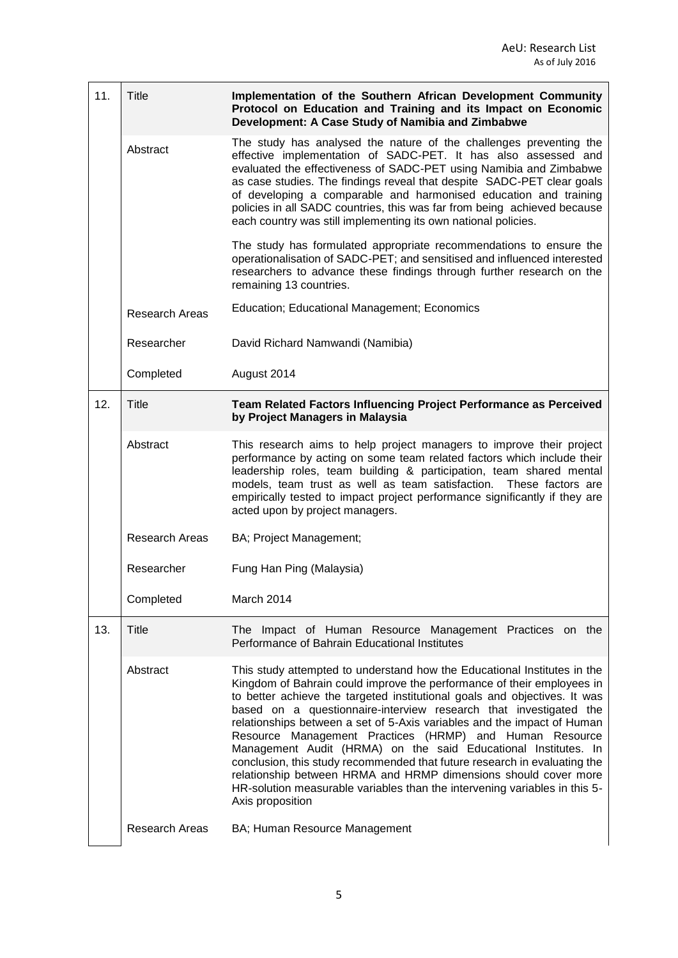| 11. | <b>Title</b>          | Implementation of the Southern African Development Community<br>Protocol on Education and Training and its Impact on Economic<br>Development: A Case Study of Namibia and Zimbabwe                                                                                                                                                                                                                                                                                                                                                                                                                                                                                                                                                                             |
|-----|-----------------------|----------------------------------------------------------------------------------------------------------------------------------------------------------------------------------------------------------------------------------------------------------------------------------------------------------------------------------------------------------------------------------------------------------------------------------------------------------------------------------------------------------------------------------------------------------------------------------------------------------------------------------------------------------------------------------------------------------------------------------------------------------------|
|     | Abstract              | The study has analysed the nature of the challenges preventing the<br>effective implementation of SADC-PET. It has also assessed and<br>evaluated the effectiveness of SADC-PET using Namibia and Zimbabwe<br>as case studies. The findings reveal that despite SADC-PET clear goals<br>of developing a comparable and harmonised education and training<br>policies in all SADC countries, this was far from being achieved because<br>each country was still implementing its own national policies.                                                                                                                                                                                                                                                         |
|     |                       | The study has formulated appropriate recommendations to ensure the<br>operationalisation of SADC-PET; and sensitised and influenced interested<br>researchers to advance these findings through further research on the<br>remaining 13 countries.                                                                                                                                                                                                                                                                                                                                                                                                                                                                                                             |
|     | <b>Research Areas</b> | <b>Education; Educational Management; Economics</b>                                                                                                                                                                                                                                                                                                                                                                                                                                                                                                                                                                                                                                                                                                            |
|     | Researcher            | David Richard Namwandi (Namibia)                                                                                                                                                                                                                                                                                                                                                                                                                                                                                                                                                                                                                                                                                                                               |
|     | Completed             | August 2014                                                                                                                                                                                                                                                                                                                                                                                                                                                                                                                                                                                                                                                                                                                                                    |
| 12. | Title                 | Team Related Factors Influencing Project Performance as Perceived<br>by Project Managers in Malaysia                                                                                                                                                                                                                                                                                                                                                                                                                                                                                                                                                                                                                                                           |
|     | Abstract              | This research aims to help project managers to improve their project<br>performance by acting on some team related factors which include their<br>leadership roles, team building & participation, team shared mental<br>models, team trust as well as team satisfaction. These factors are<br>empirically tested to impact project performance significantly if they are<br>acted upon by project managers.                                                                                                                                                                                                                                                                                                                                                   |
|     | <b>Research Areas</b> | BA; Project Management;                                                                                                                                                                                                                                                                                                                                                                                                                                                                                                                                                                                                                                                                                                                                        |
|     | Researcher            | Fung Han Ping (Malaysia)                                                                                                                                                                                                                                                                                                                                                                                                                                                                                                                                                                                                                                                                                                                                       |
|     | Completed             | March 2014                                                                                                                                                                                                                                                                                                                                                                                                                                                                                                                                                                                                                                                                                                                                                     |
| 13. | <b>Title</b>          | The Impact of Human Resource Management Practices on the<br>Performance of Bahrain Educational Institutes                                                                                                                                                                                                                                                                                                                                                                                                                                                                                                                                                                                                                                                      |
|     | Abstract              | This study attempted to understand how the Educational Institutes in the<br>Kingdom of Bahrain could improve the performance of their employees in<br>to better achieve the targeted institutional goals and objectives. It was<br>based on a questionnaire-interview research that investigated the<br>relationships between a set of 5-Axis variables and the impact of Human<br>Resource Management Practices (HRMP) and Human Resource<br>Management Audit (HRMA) on the said Educational Institutes. In<br>conclusion, this study recommended that future research in evaluating the<br>relationship between HRMA and HRMP dimensions should cover more<br>HR-solution measurable variables than the intervening variables in this 5-<br>Axis proposition |
|     | <b>Research Areas</b> | BA; Human Resource Management                                                                                                                                                                                                                                                                                                                                                                                                                                                                                                                                                                                                                                                                                                                                  |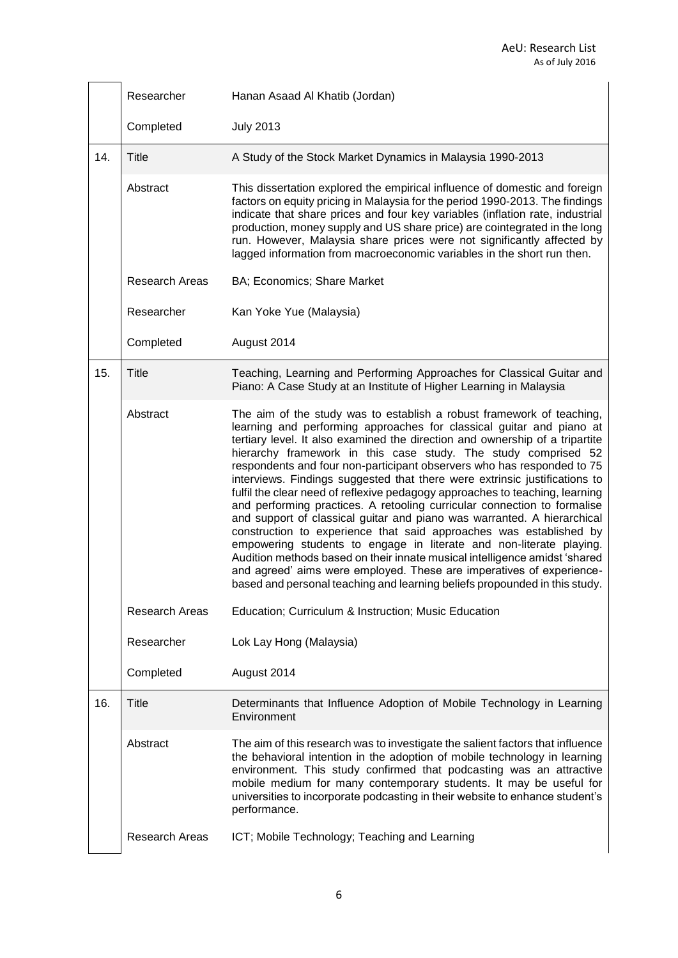|     | Researcher            | Hanan Asaad Al Khatib (Jordan)                                                                                                                                                                                                                                                                                                                                                                                                                                                                                                                                                                                                                                                                                                                                                                                                                                                                                                                                                                                                                                                  |
|-----|-----------------------|---------------------------------------------------------------------------------------------------------------------------------------------------------------------------------------------------------------------------------------------------------------------------------------------------------------------------------------------------------------------------------------------------------------------------------------------------------------------------------------------------------------------------------------------------------------------------------------------------------------------------------------------------------------------------------------------------------------------------------------------------------------------------------------------------------------------------------------------------------------------------------------------------------------------------------------------------------------------------------------------------------------------------------------------------------------------------------|
|     | Completed             | <b>July 2013</b>                                                                                                                                                                                                                                                                                                                                                                                                                                                                                                                                                                                                                                                                                                                                                                                                                                                                                                                                                                                                                                                                |
| 14. | Title                 | A Study of the Stock Market Dynamics in Malaysia 1990-2013                                                                                                                                                                                                                                                                                                                                                                                                                                                                                                                                                                                                                                                                                                                                                                                                                                                                                                                                                                                                                      |
|     | Abstract              | This dissertation explored the empirical influence of domestic and foreign<br>factors on equity pricing in Malaysia for the period 1990-2013. The findings<br>indicate that share prices and four key variables (inflation rate, industrial<br>production, money supply and US share price) are cointegrated in the long<br>run. However, Malaysia share prices were not significantly affected by<br>lagged information from macroeconomic variables in the short run then.                                                                                                                                                                                                                                                                                                                                                                                                                                                                                                                                                                                                    |
|     | <b>Research Areas</b> | BA; Economics; Share Market                                                                                                                                                                                                                                                                                                                                                                                                                                                                                                                                                                                                                                                                                                                                                                                                                                                                                                                                                                                                                                                     |
|     | Researcher            | Kan Yoke Yue (Malaysia)                                                                                                                                                                                                                                                                                                                                                                                                                                                                                                                                                                                                                                                                                                                                                                                                                                                                                                                                                                                                                                                         |
|     | Completed             | August 2014                                                                                                                                                                                                                                                                                                                                                                                                                                                                                                                                                                                                                                                                                                                                                                                                                                                                                                                                                                                                                                                                     |
| 15. | <b>Title</b>          | Teaching, Learning and Performing Approaches for Classical Guitar and<br>Piano: A Case Study at an Institute of Higher Learning in Malaysia                                                                                                                                                                                                                                                                                                                                                                                                                                                                                                                                                                                                                                                                                                                                                                                                                                                                                                                                     |
|     | Abstract              | The aim of the study was to establish a robust framework of teaching,<br>learning and performing approaches for classical guitar and piano at<br>tertiary level. It also examined the direction and ownership of a tripartite<br>hierarchy framework in this case study. The study comprised 52<br>respondents and four non-participant observers who has responded to 75<br>interviews. Findings suggested that there were extrinsic justifications to<br>fulfil the clear need of reflexive pedagogy approaches to teaching, learning<br>and performing practices. A retooling curricular connection to formalise<br>and support of classical guitar and piano was warranted. A hierarchical<br>construction to experience that said approaches was established by<br>empowering students to engage in literate and non-literate playing.<br>Audition methods based on their innate musical intelligence amidst 'shared<br>and agreed' aims were employed. These are imperatives of experience-<br>based and personal teaching and learning beliefs propounded in this study. |
|     | <b>Research Areas</b> | Education; Curriculum & Instruction; Music Education                                                                                                                                                                                                                                                                                                                                                                                                                                                                                                                                                                                                                                                                                                                                                                                                                                                                                                                                                                                                                            |
|     | Researcher            | Lok Lay Hong (Malaysia)                                                                                                                                                                                                                                                                                                                                                                                                                                                                                                                                                                                                                                                                                                                                                                                                                                                                                                                                                                                                                                                         |
|     | Completed             | August 2014                                                                                                                                                                                                                                                                                                                                                                                                                                                                                                                                                                                                                                                                                                                                                                                                                                                                                                                                                                                                                                                                     |
| 16. | <b>Title</b>          | Determinants that Influence Adoption of Mobile Technology in Learning<br>Environment                                                                                                                                                                                                                                                                                                                                                                                                                                                                                                                                                                                                                                                                                                                                                                                                                                                                                                                                                                                            |
|     | Abstract              | The aim of this research was to investigate the salient factors that influence<br>the behavioral intention in the adoption of mobile technology in learning<br>environment. This study confirmed that podcasting was an attractive<br>mobile medium for many contemporary students. It may be useful for<br>universities to incorporate podcasting in their website to enhance student's<br>performance.                                                                                                                                                                                                                                                                                                                                                                                                                                                                                                                                                                                                                                                                        |
|     | Research Areas        | ICT; Mobile Technology; Teaching and Learning                                                                                                                                                                                                                                                                                                                                                                                                                                                                                                                                                                                                                                                                                                                                                                                                                                                                                                                                                                                                                                   |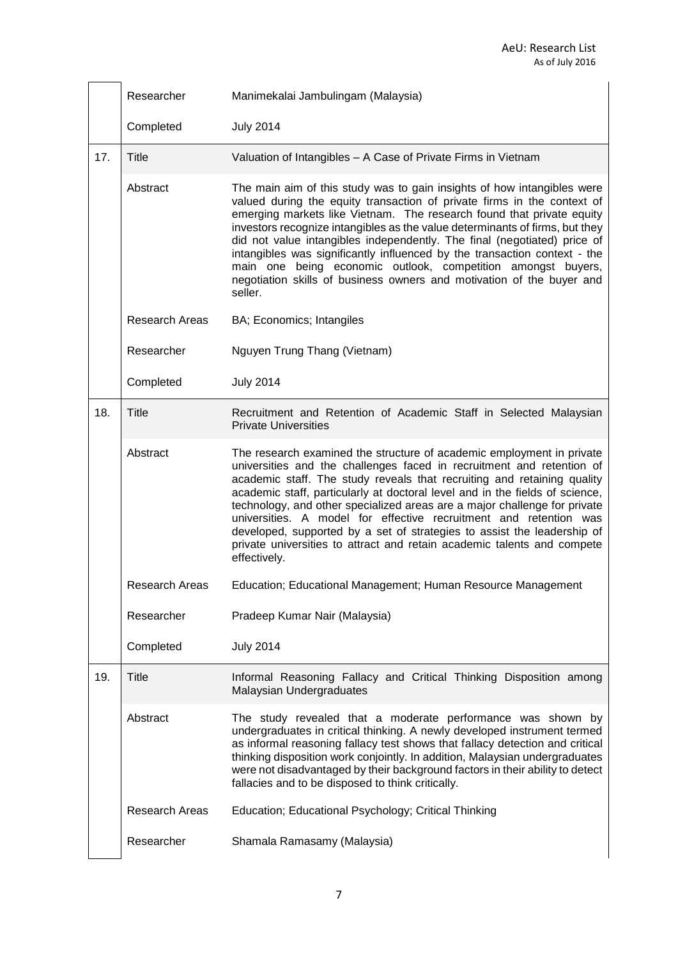|     | Researcher            | Manimekalai Jambulingam (Malaysia)                                                                                                                                                                                                                                                                                                                                                                                                                                                                                                                                                                                                |
|-----|-----------------------|-----------------------------------------------------------------------------------------------------------------------------------------------------------------------------------------------------------------------------------------------------------------------------------------------------------------------------------------------------------------------------------------------------------------------------------------------------------------------------------------------------------------------------------------------------------------------------------------------------------------------------------|
|     | Completed             | <b>July 2014</b>                                                                                                                                                                                                                                                                                                                                                                                                                                                                                                                                                                                                                  |
| 17. | Title                 | Valuation of Intangibles - A Case of Private Firms in Vietnam                                                                                                                                                                                                                                                                                                                                                                                                                                                                                                                                                                     |
|     | Abstract              | The main aim of this study was to gain insights of how intangibles were<br>valued during the equity transaction of private firms in the context of<br>emerging markets like Vietnam. The research found that private equity<br>investors recognize intangibles as the value determinants of firms, but they<br>did not value intangibles independently. The final (negotiated) price of<br>intangibles was significantly influenced by the transaction context - the<br>main one being economic outlook, competition amongst buyers,<br>negotiation skills of business owners and motivation of the buyer and<br>seller.          |
|     | <b>Research Areas</b> | BA; Economics; Intangiles                                                                                                                                                                                                                                                                                                                                                                                                                                                                                                                                                                                                         |
|     | Researcher            | Nguyen Trung Thang (Vietnam)                                                                                                                                                                                                                                                                                                                                                                                                                                                                                                                                                                                                      |
|     | Completed             | <b>July 2014</b>                                                                                                                                                                                                                                                                                                                                                                                                                                                                                                                                                                                                                  |
| 18. | <b>Title</b>          | Recruitment and Retention of Academic Staff in Selected Malaysian<br><b>Private Universities</b>                                                                                                                                                                                                                                                                                                                                                                                                                                                                                                                                  |
|     | Abstract              | The research examined the structure of academic employment in private<br>universities and the challenges faced in recruitment and retention of<br>academic staff. The study reveals that recruiting and retaining quality<br>academic staff, particularly at doctoral level and in the fields of science,<br>technology, and other specialized areas are a major challenge for private<br>universities. A model for effective recruitment and retention was<br>developed, supported by a set of strategies to assist the leadership of<br>private universities to attract and retain academic talents and compete<br>effectively. |
|     | <b>Research Areas</b> | Education; Educational Management; Human Resource Management                                                                                                                                                                                                                                                                                                                                                                                                                                                                                                                                                                      |
|     | Researcher            | Pradeep Kumar Nair (Malaysia)                                                                                                                                                                                                                                                                                                                                                                                                                                                                                                                                                                                                     |
|     | Completed             | <b>July 2014</b>                                                                                                                                                                                                                                                                                                                                                                                                                                                                                                                                                                                                                  |
| 19. | <b>Title</b>          | Informal Reasoning Fallacy and Critical Thinking Disposition among<br>Malaysian Undergraduates                                                                                                                                                                                                                                                                                                                                                                                                                                                                                                                                    |
|     | Abstract              | The study revealed that a moderate performance was shown by<br>undergraduates in critical thinking. A newly developed instrument termed<br>as informal reasoning fallacy test shows that fallacy detection and critical<br>thinking disposition work conjointly. In addition, Malaysian undergraduates<br>were not disadvantaged by their background factors in their ability to detect<br>fallacies and to be disposed to think critically.                                                                                                                                                                                      |
|     | <b>Research Areas</b> | Education; Educational Psychology; Critical Thinking                                                                                                                                                                                                                                                                                                                                                                                                                                                                                                                                                                              |
|     | Researcher            | Shamala Ramasamy (Malaysia)                                                                                                                                                                                                                                                                                                                                                                                                                                                                                                                                                                                                       |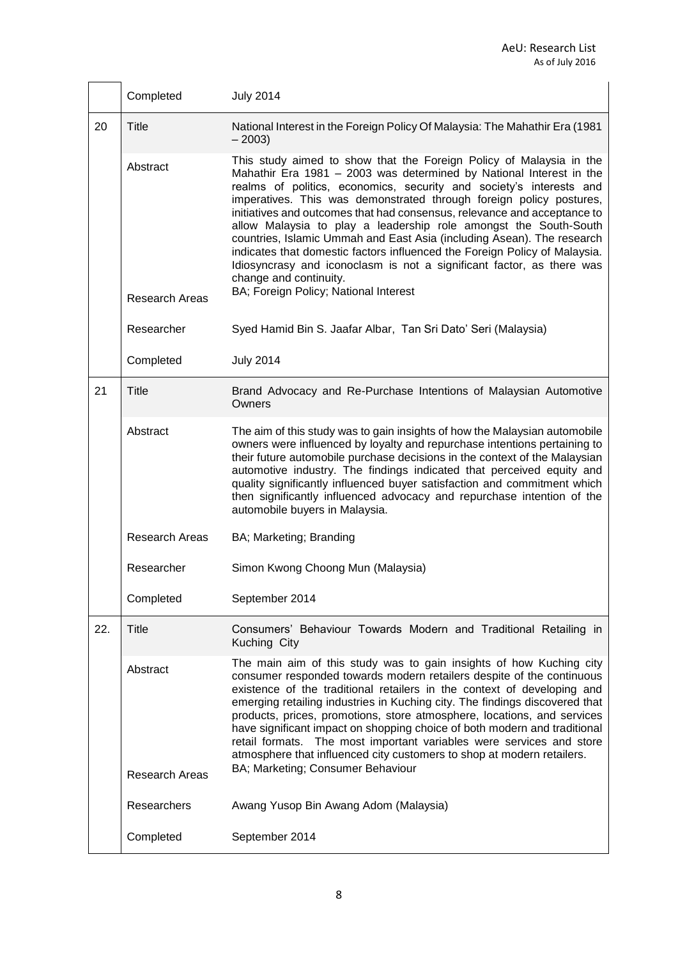|     | Completed                         | <b>July 2014</b>                                                                                                                                                                                                                                                                                                                                                                                                                                                                                                                                                                                                                                                                                                                             |
|-----|-----------------------------------|----------------------------------------------------------------------------------------------------------------------------------------------------------------------------------------------------------------------------------------------------------------------------------------------------------------------------------------------------------------------------------------------------------------------------------------------------------------------------------------------------------------------------------------------------------------------------------------------------------------------------------------------------------------------------------------------------------------------------------------------|
| 20  | <b>Title</b>                      | National Interest in the Foreign Policy Of Malaysia: The Mahathir Era (1981<br>$-2003$                                                                                                                                                                                                                                                                                                                                                                                                                                                                                                                                                                                                                                                       |
|     | Abstract<br><b>Research Areas</b> | This study aimed to show that the Foreign Policy of Malaysia in the<br>Mahathir Era 1981 - 2003 was determined by National Interest in the<br>realms of politics, economics, security and society's interests and<br>imperatives. This was demonstrated through foreign policy postures,<br>initiatives and outcomes that had consensus, relevance and acceptance to<br>allow Malaysia to play a leadership role amongst the South-South<br>countries, Islamic Ummah and East Asia (including Asean). The research<br>indicates that domestic factors influenced the Foreign Policy of Malaysia.<br>Idiosyncrasy and iconoclasm is not a significant factor, as there was<br>change and continuity.<br>BA; Foreign Policy; National Interest |
|     | Researcher                        | Syed Hamid Bin S. Jaafar Albar, Tan Sri Dato' Seri (Malaysia)                                                                                                                                                                                                                                                                                                                                                                                                                                                                                                                                                                                                                                                                                |
|     | Completed                         | <b>July 2014</b>                                                                                                                                                                                                                                                                                                                                                                                                                                                                                                                                                                                                                                                                                                                             |
| 21  | <b>Title</b>                      | Brand Advocacy and Re-Purchase Intentions of Malaysian Automotive<br>Owners                                                                                                                                                                                                                                                                                                                                                                                                                                                                                                                                                                                                                                                                  |
|     | Abstract                          | The aim of this study was to gain insights of how the Malaysian automobile<br>owners were influenced by loyalty and repurchase intentions pertaining to<br>their future automobile purchase decisions in the context of the Malaysian<br>automotive industry. The findings indicated that perceived equity and<br>quality significantly influenced buyer satisfaction and commitment which<br>then significantly influenced advocacy and repurchase intention of the<br>automobile buyers in Malaysia.                                                                                                                                                                                                                                       |
|     | <b>Research Areas</b>             | BA; Marketing; Branding                                                                                                                                                                                                                                                                                                                                                                                                                                                                                                                                                                                                                                                                                                                      |
|     | Researcher                        | Simon Kwong Choong Mun (Malaysia)                                                                                                                                                                                                                                                                                                                                                                                                                                                                                                                                                                                                                                                                                                            |
|     | Completed                         | September 2014                                                                                                                                                                                                                                                                                                                                                                                                                                                                                                                                                                                                                                                                                                                               |
| 22. | <b>Title</b>                      | Consumers' Behaviour Towards Modern and Traditional Retailing in<br>Kuching City                                                                                                                                                                                                                                                                                                                                                                                                                                                                                                                                                                                                                                                             |
|     | Abstract<br><b>Research Areas</b> | The main aim of this study was to gain insights of how Kuching city<br>consumer responded towards modern retailers despite of the continuous<br>existence of the traditional retailers in the context of developing and<br>emerging retailing industries in Kuching city. The findings discovered that<br>products, prices, promotions, store atmosphere, locations, and services<br>have significant impact on shopping choice of both modern and traditional<br>retail formats. The most important variables were services and store<br>atmosphere that influenced city customers to shop at modern retailers.<br>BA; Marketing; Consumer Behaviour                                                                                        |
|     | Researchers                       | Awang Yusop Bin Awang Adom (Malaysia)                                                                                                                                                                                                                                                                                                                                                                                                                                                                                                                                                                                                                                                                                                        |
|     | Completed                         | September 2014                                                                                                                                                                                                                                                                                                                                                                                                                                                                                                                                                                                                                                                                                                                               |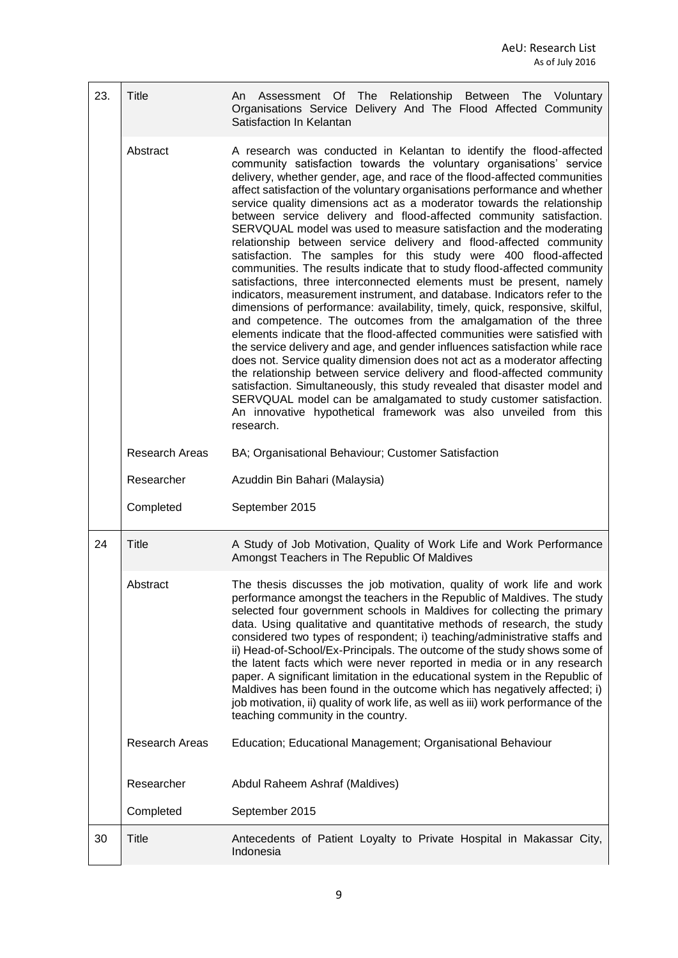| 23. | Title          | Assessment Of The Relationship Between The Voluntary<br>An<br>Organisations Service Delivery And The Flood Affected Community<br>Satisfaction In Kelantan                                                                                                                                                                                                                                                                                                                                                                                                                                                                                                                                                                                                                                                                                                                                                                                                                                                                                                                                                                                                                                                                                                                                                                                                                                                                                                                                                                                                                                                        |
|-----|----------------|------------------------------------------------------------------------------------------------------------------------------------------------------------------------------------------------------------------------------------------------------------------------------------------------------------------------------------------------------------------------------------------------------------------------------------------------------------------------------------------------------------------------------------------------------------------------------------------------------------------------------------------------------------------------------------------------------------------------------------------------------------------------------------------------------------------------------------------------------------------------------------------------------------------------------------------------------------------------------------------------------------------------------------------------------------------------------------------------------------------------------------------------------------------------------------------------------------------------------------------------------------------------------------------------------------------------------------------------------------------------------------------------------------------------------------------------------------------------------------------------------------------------------------------------------------------------------------------------------------------|
|     | Abstract       | A research was conducted in Kelantan to identify the flood-affected<br>community satisfaction towards the voluntary organisations' service<br>delivery, whether gender, age, and race of the flood-affected communities<br>affect satisfaction of the voluntary organisations performance and whether<br>service quality dimensions act as a moderator towards the relationship<br>between service delivery and flood-affected community satisfaction.<br>SERVQUAL model was used to measure satisfaction and the moderating<br>relationship between service delivery and flood-affected community<br>satisfaction. The samples for this study were 400 flood-affected<br>communities. The results indicate that to study flood-affected community<br>satisfactions, three interconnected elements must be present, namely<br>indicators, measurement instrument, and database. Indicators refer to the<br>dimensions of performance: availability, timely, quick, responsive, skilful,<br>and competence. The outcomes from the amalgamation of the three<br>elements indicate that the flood-affected communities were satisfied with<br>the service delivery and age, and gender influences satisfaction while race<br>does not. Service quality dimension does not act as a moderator affecting<br>the relationship between service delivery and flood-affected community<br>satisfaction. Simultaneously, this study revealed that disaster model and<br>SERVQUAL model can be amalgamated to study customer satisfaction.<br>An innovative hypothetical framework was also unveiled from this<br>research. |
|     | Research Areas | BA; Organisational Behaviour; Customer Satisfaction                                                                                                                                                                                                                                                                                                                                                                                                                                                                                                                                                                                                                                                                                                                                                                                                                                                                                                                                                                                                                                                                                                                                                                                                                                                                                                                                                                                                                                                                                                                                                              |
|     | Researcher     | Azuddin Bin Bahari (Malaysia)                                                                                                                                                                                                                                                                                                                                                                                                                                                                                                                                                                                                                                                                                                                                                                                                                                                                                                                                                                                                                                                                                                                                                                                                                                                                                                                                                                                                                                                                                                                                                                                    |
|     | Completed      | September 2015                                                                                                                                                                                                                                                                                                                                                                                                                                                                                                                                                                                                                                                                                                                                                                                                                                                                                                                                                                                                                                                                                                                                                                                                                                                                                                                                                                                                                                                                                                                                                                                                   |
| 24  | Title          | A Study of Job Motivation, Quality of Work Life and Work Performance<br>Amongst Teachers in The Republic Of Maldives                                                                                                                                                                                                                                                                                                                                                                                                                                                                                                                                                                                                                                                                                                                                                                                                                                                                                                                                                                                                                                                                                                                                                                                                                                                                                                                                                                                                                                                                                             |
|     | Abstract       | The thesis discusses the job motivation, quality of work life and work<br>performance amongst the teachers in the Republic of Maldives. The study<br>selected four government schools in Maldives for collecting the primary<br>data. Using qualitative and quantitative methods of research, the study<br>considered two types of respondent; i) teaching/administrative staffs and<br>ii) Head-of-School/Ex-Principals. The outcome of the study shows some of<br>the latent facts which were never reported in media or in any research<br>paper. A significant limitation in the educational system in the Republic of<br>Maldives has been found in the outcome which has negatively affected; i)<br>job motivation, ii) quality of work life, as well as iii) work performance of the<br>teaching community in the country.                                                                                                                                                                                                                                                                                                                                                                                                                                                                                                                                                                                                                                                                                                                                                                                |
|     | Research Areas | Education; Educational Management; Organisational Behaviour                                                                                                                                                                                                                                                                                                                                                                                                                                                                                                                                                                                                                                                                                                                                                                                                                                                                                                                                                                                                                                                                                                                                                                                                                                                                                                                                                                                                                                                                                                                                                      |
|     | Researcher     | Abdul Raheem Ashraf (Maldives)                                                                                                                                                                                                                                                                                                                                                                                                                                                                                                                                                                                                                                                                                                                                                                                                                                                                                                                                                                                                                                                                                                                                                                                                                                                                                                                                                                                                                                                                                                                                                                                   |
|     | Completed      | September 2015                                                                                                                                                                                                                                                                                                                                                                                                                                                                                                                                                                                                                                                                                                                                                                                                                                                                                                                                                                                                                                                                                                                                                                                                                                                                                                                                                                                                                                                                                                                                                                                                   |
| 30  | <b>Title</b>   | Antecedents of Patient Loyalty to Private Hospital in Makassar City,<br>Indonesia                                                                                                                                                                                                                                                                                                                                                                                                                                                                                                                                                                                                                                                                                                                                                                                                                                                                                                                                                                                                                                                                                                                                                                                                                                                                                                                                                                                                                                                                                                                                |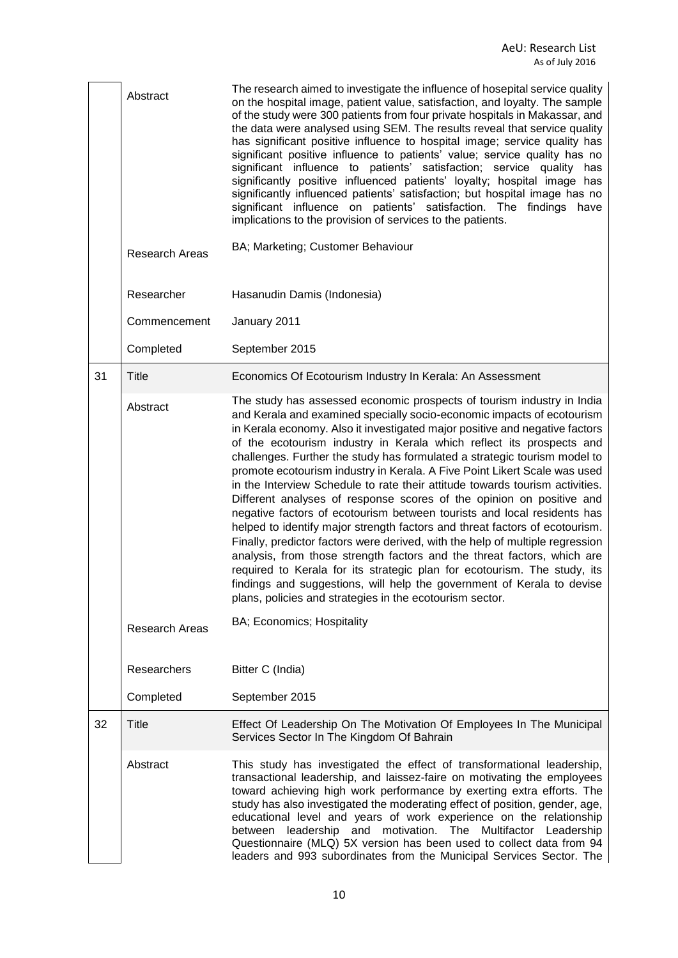|    | Abstract<br><b>Research Areas</b> | The research aimed to investigate the influence of hosepital service quality<br>on the hospital image, patient value, satisfaction, and loyalty. The sample<br>of the study were 300 patients from four private hospitals in Makassar, and<br>the data were analysed using SEM. The results reveal that service quality<br>has significant positive influence to hospital image; service quality has<br>significant positive influence to patients' value; service quality has no<br>significant influence to patients' satisfaction; service quality has<br>significantly positive influenced patients' loyalty; hospital image has<br>significantly influenced patients' satisfaction; but hospital image has no<br>significant influence on patients' satisfaction. The findings have<br>implications to the provision of services to the patients.<br>BA; Marketing; Customer Behaviour                                                                                                                                                                                                                                                                       |
|----|-----------------------------------|-------------------------------------------------------------------------------------------------------------------------------------------------------------------------------------------------------------------------------------------------------------------------------------------------------------------------------------------------------------------------------------------------------------------------------------------------------------------------------------------------------------------------------------------------------------------------------------------------------------------------------------------------------------------------------------------------------------------------------------------------------------------------------------------------------------------------------------------------------------------------------------------------------------------------------------------------------------------------------------------------------------------------------------------------------------------------------------------------------------------------------------------------------------------|
|    |                                   |                                                                                                                                                                                                                                                                                                                                                                                                                                                                                                                                                                                                                                                                                                                                                                                                                                                                                                                                                                                                                                                                                                                                                                   |
|    | Researcher                        | Hasanudin Damis (Indonesia)                                                                                                                                                                                                                                                                                                                                                                                                                                                                                                                                                                                                                                                                                                                                                                                                                                                                                                                                                                                                                                                                                                                                       |
|    | Commencement                      | January 2011                                                                                                                                                                                                                                                                                                                                                                                                                                                                                                                                                                                                                                                                                                                                                                                                                                                                                                                                                                                                                                                                                                                                                      |
|    | Completed                         | September 2015                                                                                                                                                                                                                                                                                                                                                                                                                                                                                                                                                                                                                                                                                                                                                                                                                                                                                                                                                                                                                                                                                                                                                    |
| 31 | Title                             | Economics Of Ecotourism Industry In Kerala: An Assessment                                                                                                                                                                                                                                                                                                                                                                                                                                                                                                                                                                                                                                                                                                                                                                                                                                                                                                                                                                                                                                                                                                         |
|    | Abstract                          | The study has assessed economic prospects of tourism industry in India<br>and Kerala and examined specially socio-economic impacts of ecotourism<br>in Kerala economy. Also it investigated major positive and negative factors<br>of the ecotourism industry in Kerala which reflect its prospects and<br>challenges. Further the study has formulated a strategic tourism model to<br>promote ecotourism industry in Kerala. A Five Point Likert Scale was used<br>in the Interview Schedule to rate their attitude towards tourism activities.<br>Different analyses of response scores of the opinion on positive and<br>negative factors of ecotourism between tourists and local residents has<br>helped to identify major strength factors and threat factors of ecotourism.<br>Finally, predictor factors were derived, with the help of multiple regression<br>analysis, from those strength factors and the threat factors, which are<br>required to Kerala for its strategic plan for ecotourism. The study, its<br>findings and suggestions, will help the government of Kerala to devise<br>plans, policies and strategies in the ecotourism sector. |
|    | Research Areas                    | BA; Economics; Hospitality                                                                                                                                                                                                                                                                                                                                                                                                                                                                                                                                                                                                                                                                                                                                                                                                                                                                                                                                                                                                                                                                                                                                        |
|    | Researchers                       | Bitter C (India)                                                                                                                                                                                                                                                                                                                                                                                                                                                                                                                                                                                                                                                                                                                                                                                                                                                                                                                                                                                                                                                                                                                                                  |
|    | Completed                         | September 2015                                                                                                                                                                                                                                                                                                                                                                                                                                                                                                                                                                                                                                                                                                                                                                                                                                                                                                                                                                                                                                                                                                                                                    |
| 32 | <b>Title</b>                      | Effect Of Leadership On The Motivation Of Employees In The Municipal<br>Services Sector In The Kingdom Of Bahrain                                                                                                                                                                                                                                                                                                                                                                                                                                                                                                                                                                                                                                                                                                                                                                                                                                                                                                                                                                                                                                                 |
|    | Abstract                          | This study has investigated the effect of transformational leadership,<br>transactional leadership, and laissez-faire on motivating the employees<br>toward achieving high work performance by exerting extra efforts. The<br>study has also investigated the moderating effect of position, gender, age,<br>educational level and years of work experience on the relationship<br>between leadership and motivation. The Multifactor Leadership<br>Questionnaire (MLQ) 5X version has been used to collect data from 94<br>leaders and 993 subordinates from the Municipal Services Sector. The                                                                                                                                                                                                                                                                                                                                                                                                                                                                                                                                                                  |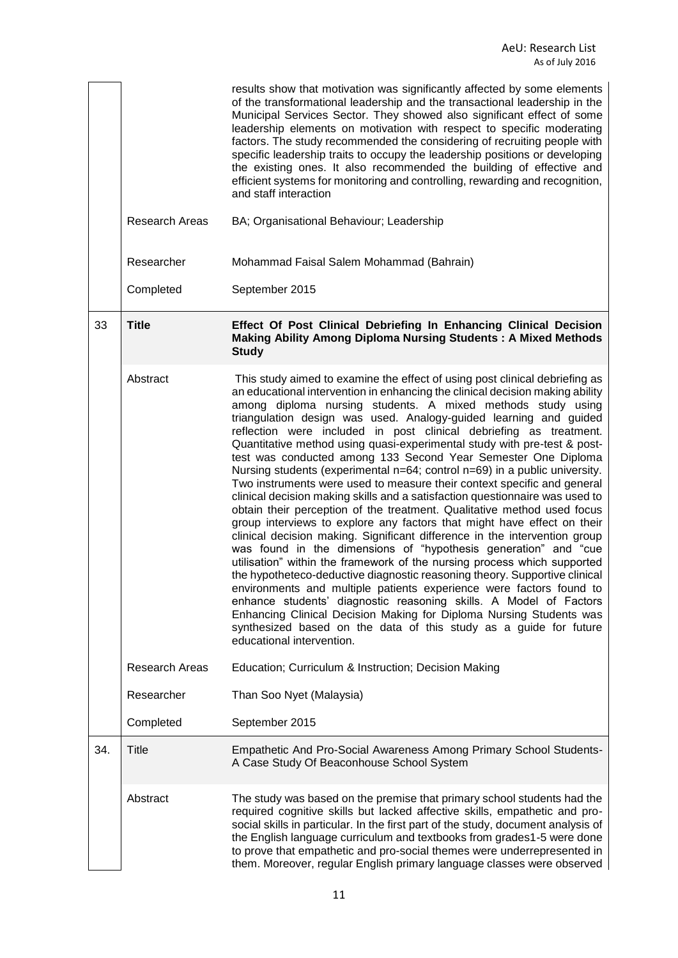|     |                       | results show that motivation was significantly affected by some elements<br>of the transformational leadership and the transactional leadership in the<br>Municipal Services Sector. They showed also significant effect of some<br>leadership elements on motivation with respect to specific moderating<br>factors. The study recommended the considering of recruiting people with<br>specific leadership traits to occupy the leadership positions or developing<br>the existing ones. It also recommended the building of effective and<br>efficient systems for monitoring and controlling, rewarding and recognition,<br>and staff interaction                                                                                                                                                                                                                                                                                                                                                                                                                                                                                                                                                                                                                                                                                                                                                                                                                                                                                              |
|-----|-----------------------|----------------------------------------------------------------------------------------------------------------------------------------------------------------------------------------------------------------------------------------------------------------------------------------------------------------------------------------------------------------------------------------------------------------------------------------------------------------------------------------------------------------------------------------------------------------------------------------------------------------------------------------------------------------------------------------------------------------------------------------------------------------------------------------------------------------------------------------------------------------------------------------------------------------------------------------------------------------------------------------------------------------------------------------------------------------------------------------------------------------------------------------------------------------------------------------------------------------------------------------------------------------------------------------------------------------------------------------------------------------------------------------------------------------------------------------------------------------------------------------------------------------------------------------------------|
|     | <b>Research Areas</b> | BA; Organisational Behaviour; Leadership                                                                                                                                                                                                                                                                                                                                                                                                                                                                                                                                                                                                                                                                                                                                                                                                                                                                                                                                                                                                                                                                                                                                                                                                                                                                                                                                                                                                                                                                                                           |
|     | Researcher            | Mohammad Faisal Salem Mohammad (Bahrain)                                                                                                                                                                                                                                                                                                                                                                                                                                                                                                                                                                                                                                                                                                                                                                                                                                                                                                                                                                                                                                                                                                                                                                                                                                                                                                                                                                                                                                                                                                           |
|     | Completed             | September 2015                                                                                                                                                                                                                                                                                                                                                                                                                                                                                                                                                                                                                                                                                                                                                                                                                                                                                                                                                                                                                                                                                                                                                                                                                                                                                                                                                                                                                                                                                                                                     |
| 33  | <b>Title</b>          | Effect Of Post Clinical Debriefing In Enhancing Clinical Decision<br><b>Making Ability Among Diploma Nursing Students: A Mixed Methods</b><br><b>Study</b>                                                                                                                                                                                                                                                                                                                                                                                                                                                                                                                                                                                                                                                                                                                                                                                                                                                                                                                                                                                                                                                                                                                                                                                                                                                                                                                                                                                         |
|     | Abstract              | This study aimed to examine the effect of using post clinical debriefing as<br>an educational intervention in enhancing the clinical decision making ability<br>among diploma nursing students. A mixed methods study using<br>triangulation design was used. Analogy-guided learning and guided<br>reflection were included in post clinical debriefing as treatment.<br>Quantitative method using quasi-experimental study with pre-test & post-<br>test was conducted among 133 Second Year Semester One Diploma<br>Nursing students (experimental n=64; control n=69) in a public university.<br>Two instruments were used to measure their context specific and general<br>clinical decision making skills and a satisfaction questionnaire was used to<br>obtain their perception of the treatment. Qualitative method used focus<br>group interviews to explore any factors that might have effect on their<br>clinical decision making. Significant difference in the intervention group<br>was found in the dimensions of "hypothesis generation" and "cue<br>utilisation" within the framework of the nursing process which supported<br>the hypotheteco-deductive diagnostic reasoning theory. Supportive clinical<br>environments and multiple patients experience were factors found to<br>enhance students' diagnostic reasoning skills. A Model of Factors<br>Enhancing Clinical Decision Making for Diploma Nursing Students was<br>synthesized based on the data of this study as a guide for future<br>educational intervention. |
|     | <b>Research Areas</b> | Education; Curriculum & Instruction; Decision Making                                                                                                                                                                                                                                                                                                                                                                                                                                                                                                                                                                                                                                                                                                                                                                                                                                                                                                                                                                                                                                                                                                                                                                                                                                                                                                                                                                                                                                                                                               |
|     | Researcher            | Than Soo Nyet (Malaysia)                                                                                                                                                                                                                                                                                                                                                                                                                                                                                                                                                                                                                                                                                                                                                                                                                                                                                                                                                                                                                                                                                                                                                                                                                                                                                                                                                                                                                                                                                                                           |
|     | Completed             | September 2015                                                                                                                                                                                                                                                                                                                                                                                                                                                                                                                                                                                                                                                                                                                                                                                                                                                                                                                                                                                                                                                                                                                                                                                                                                                                                                                                                                                                                                                                                                                                     |
| 34. | Title                 | Empathetic And Pro-Social Awareness Among Primary School Students-<br>A Case Study Of Beaconhouse School System                                                                                                                                                                                                                                                                                                                                                                                                                                                                                                                                                                                                                                                                                                                                                                                                                                                                                                                                                                                                                                                                                                                                                                                                                                                                                                                                                                                                                                    |
|     | Abstract              | The study was based on the premise that primary school students had the<br>required cognitive skills but lacked affective skills, empathetic and pro-<br>social skills in particular. In the first part of the study, document analysis of<br>the English language curriculum and textbooks from grades1-5 were done<br>to prove that empathetic and pro-social themes were underrepresented in<br>them. Moreover, regular English primary language classes were observed                                                                                                                                                                                                                                                                                                                                                                                                                                                                                                                                                                                                                                                                                                                                                                                                                                                                                                                                                                                                                                                                          |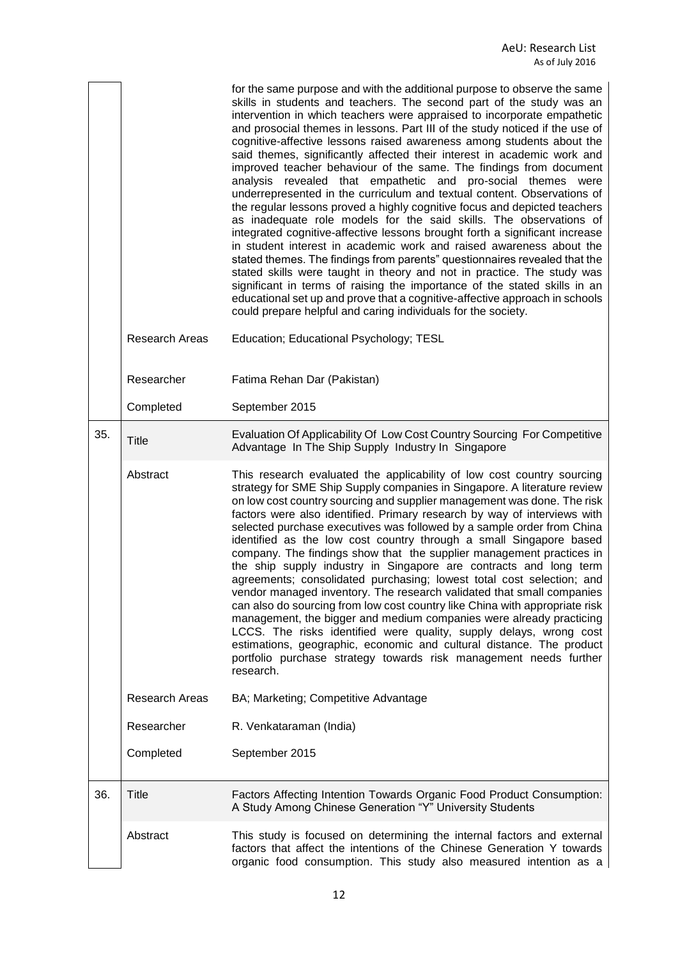|     |                       | for the same purpose and with the additional purpose to observe the same<br>skills in students and teachers. The second part of the study was an<br>intervention in which teachers were appraised to incorporate empathetic<br>and prosocial themes in lessons. Part III of the study noticed if the use of<br>cognitive-affective lessons raised awareness among students about the<br>said themes, significantly affected their interest in academic work and<br>improved teacher behaviour of the same. The findings from document<br>analysis revealed that empathetic and pro-social themes were<br>underrepresented in the curriculum and textual content. Observations of<br>the regular lessons proved a highly cognitive focus and depicted teachers<br>as inadequate role models for the said skills. The observations of<br>integrated cognitive-affective lessons brought forth a significant increase<br>in student interest in academic work and raised awareness about the<br>stated themes. The findings from parents" questionnaires revealed that the<br>stated skills were taught in theory and not in practice. The study was<br>significant in terms of raising the importance of the stated skills in an<br>educational set up and prove that a cognitive-affective approach in schools<br>could prepare helpful and caring individuals for the society. |
|-----|-----------------------|--------------------------------------------------------------------------------------------------------------------------------------------------------------------------------------------------------------------------------------------------------------------------------------------------------------------------------------------------------------------------------------------------------------------------------------------------------------------------------------------------------------------------------------------------------------------------------------------------------------------------------------------------------------------------------------------------------------------------------------------------------------------------------------------------------------------------------------------------------------------------------------------------------------------------------------------------------------------------------------------------------------------------------------------------------------------------------------------------------------------------------------------------------------------------------------------------------------------------------------------------------------------------------------------------------------------------------------------------------------------------------|
|     | <b>Research Areas</b> | Education; Educational Psychology; TESL                                                                                                                                                                                                                                                                                                                                                                                                                                                                                                                                                                                                                                                                                                                                                                                                                                                                                                                                                                                                                                                                                                                                                                                                                                                                                                                                        |
|     | Researcher            | Fatima Rehan Dar (Pakistan)                                                                                                                                                                                                                                                                                                                                                                                                                                                                                                                                                                                                                                                                                                                                                                                                                                                                                                                                                                                                                                                                                                                                                                                                                                                                                                                                                    |
|     | Completed             | September 2015                                                                                                                                                                                                                                                                                                                                                                                                                                                                                                                                                                                                                                                                                                                                                                                                                                                                                                                                                                                                                                                                                                                                                                                                                                                                                                                                                                 |
| 35. | Title                 | Evaluation Of Applicability Of Low Cost Country Sourcing For Competitive<br>Advantage In The Ship Supply Industry In Singapore                                                                                                                                                                                                                                                                                                                                                                                                                                                                                                                                                                                                                                                                                                                                                                                                                                                                                                                                                                                                                                                                                                                                                                                                                                                 |
|     | Abstract              | This research evaluated the applicability of low cost country sourcing<br>strategy for SME Ship Supply companies in Singapore. A literature review<br>on low cost country sourcing and supplier management was done. The risk<br>factors were also identified. Primary research by way of interviews with<br>selected purchase executives was followed by a sample order from China<br>identified as the low cost country through a small Singapore based<br>company. The findings show that the supplier management practices in<br>the ship supply industry in Singapore are contracts and long term<br>agreements; consolidated purchasing; lowest total cost selection; and<br>vendor managed inventory. The research validated that small companies<br>can also do sourcing from low cost country like China with appropriate risk<br>management, the bigger and medium companies were already practicing<br>LCCS. The risks identified were quality, supply delays, wrong cost<br>estimations, geographic, economic and cultural distance. The product<br>portfolio purchase strategy towards risk management needs further<br>research.                                                                                                                                                                                                                                 |
|     | <b>Research Areas</b> | BA; Marketing; Competitive Advantage                                                                                                                                                                                                                                                                                                                                                                                                                                                                                                                                                                                                                                                                                                                                                                                                                                                                                                                                                                                                                                                                                                                                                                                                                                                                                                                                           |
|     | Researcher            | R. Venkataraman (India)                                                                                                                                                                                                                                                                                                                                                                                                                                                                                                                                                                                                                                                                                                                                                                                                                                                                                                                                                                                                                                                                                                                                                                                                                                                                                                                                                        |
|     | Completed             | September 2015                                                                                                                                                                                                                                                                                                                                                                                                                                                                                                                                                                                                                                                                                                                                                                                                                                                                                                                                                                                                                                                                                                                                                                                                                                                                                                                                                                 |
| 36. | Title                 | Factors Affecting Intention Towards Organic Food Product Consumption:<br>A Study Among Chinese Generation "Y" University Students                                                                                                                                                                                                                                                                                                                                                                                                                                                                                                                                                                                                                                                                                                                                                                                                                                                                                                                                                                                                                                                                                                                                                                                                                                              |
|     | Abstract              | This study is focused on determining the internal factors and external<br>factors that affect the intentions of the Chinese Generation Y towards<br>organic food consumption. This study also measured intention as a                                                                                                                                                                                                                                                                                                                                                                                                                                                                                                                                                                                                                                                                                                                                                                                                                                                                                                                                                                                                                                                                                                                                                          |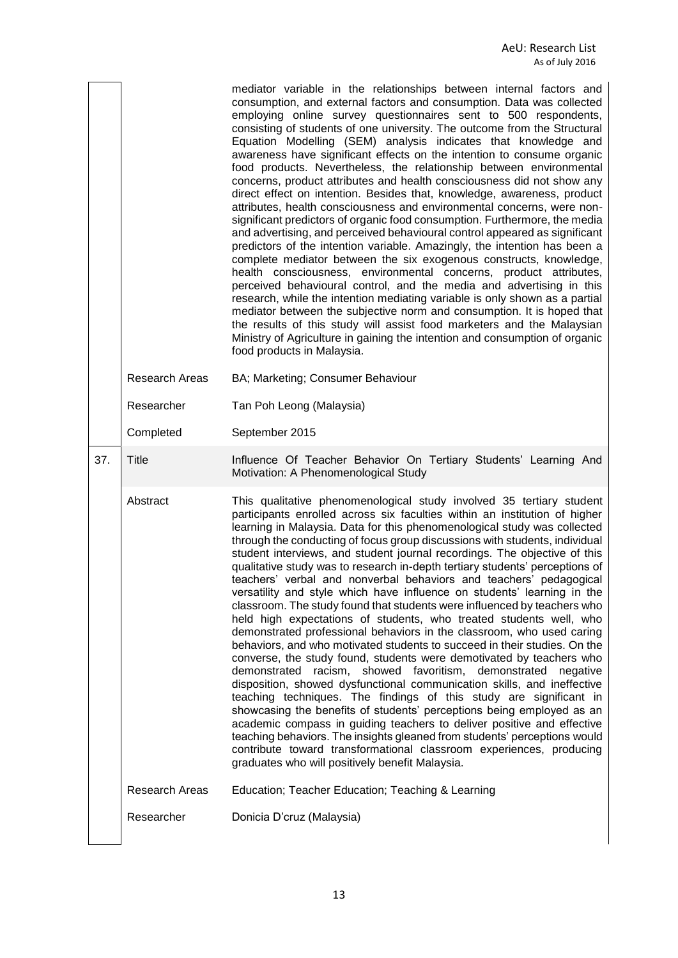|     |                       | mediator variable in the relationships between internal factors and<br>consumption, and external factors and consumption. Data was collected<br>employing online survey questionnaires sent to 500 respondents,<br>consisting of students of one university. The outcome from the Structural<br>Equation Modelling (SEM) analysis indicates that knowledge and<br>awareness have significant effects on the intention to consume organic<br>food products. Nevertheless, the relationship between environmental<br>concerns, product attributes and health consciousness did not show any<br>direct effect on intention. Besides that, knowledge, awareness, product<br>attributes, health consciousness and environmental concerns, were non-<br>significant predictors of organic food consumption. Furthermore, the media<br>and advertising, and perceived behavioural control appeared as significant<br>predictors of the intention variable. Amazingly, the intention has been a<br>complete mediator between the six exogenous constructs, knowledge,<br>health consciousness, environmental concerns, product attributes,<br>perceived behavioural control, and the media and advertising in this<br>research, while the intention mediating variable is only shown as a partial<br>mediator between the subjective norm and consumption. It is hoped that<br>the results of this study will assist food marketers and the Malaysian<br>Ministry of Agriculture in gaining the intention and consumption of organic<br>food products in Malaysia.                                 |
|-----|-----------------------|--------------------------------------------------------------------------------------------------------------------------------------------------------------------------------------------------------------------------------------------------------------------------------------------------------------------------------------------------------------------------------------------------------------------------------------------------------------------------------------------------------------------------------------------------------------------------------------------------------------------------------------------------------------------------------------------------------------------------------------------------------------------------------------------------------------------------------------------------------------------------------------------------------------------------------------------------------------------------------------------------------------------------------------------------------------------------------------------------------------------------------------------------------------------------------------------------------------------------------------------------------------------------------------------------------------------------------------------------------------------------------------------------------------------------------------------------------------------------------------------------------------------------------------------------------------------------------------------|
|     | <b>Research Areas</b> | BA; Marketing; Consumer Behaviour                                                                                                                                                                                                                                                                                                                                                                                                                                                                                                                                                                                                                                                                                                                                                                                                                                                                                                                                                                                                                                                                                                                                                                                                                                                                                                                                                                                                                                                                                                                                                          |
|     | Researcher            | Tan Poh Leong (Malaysia)                                                                                                                                                                                                                                                                                                                                                                                                                                                                                                                                                                                                                                                                                                                                                                                                                                                                                                                                                                                                                                                                                                                                                                                                                                                                                                                                                                                                                                                                                                                                                                   |
|     | Completed             | September 2015                                                                                                                                                                                                                                                                                                                                                                                                                                                                                                                                                                                                                                                                                                                                                                                                                                                                                                                                                                                                                                                                                                                                                                                                                                                                                                                                                                                                                                                                                                                                                                             |
| 37. | <b>Title</b>          | Influence Of Teacher Behavior On Tertiary Students' Learning And<br>Motivation: A Phenomenological Study                                                                                                                                                                                                                                                                                                                                                                                                                                                                                                                                                                                                                                                                                                                                                                                                                                                                                                                                                                                                                                                                                                                                                                                                                                                                                                                                                                                                                                                                                   |
|     | Abstract              | This qualitative phenomenological study involved 35 tertiary student<br>participants enrolled across six faculties within an institution of higher<br>learning in Malaysia. Data for this phenomenological study was collected<br>through the conducting of focus group discussions with students, individual<br>student interviews, and student journal recordings. The objective of this<br>qualitative study was to research in-depth tertiary students' perceptions of<br>teachers' verbal and nonverbal behaviors and teachers' pedagogical<br>versatility and style which have influence on students' learning in the<br>classroom. The study found that students were influenced by teachers who<br>held high expectations of students, who treated students well, who<br>demonstrated professional behaviors in the classroom, who used caring<br>behaviors, and who motivated students to succeed in their studies. On the<br>converse, the study found, students were demotivated by teachers who<br>demonstrated racism, showed favoritism, demonstrated<br>negative<br>disposition, showed dysfunctional communication skills, and ineffective<br>teaching techniques. The findings of this study are significant in<br>showcasing the benefits of students' perceptions being employed as an<br>academic compass in guiding teachers to deliver positive and effective<br>teaching behaviors. The insights gleaned from students' perceptions would<br>contribute toward transformational classroom experiences, producing<br>graduates who will positively benefit Malaysia. |
|     | <b>Research Areas</b> | Education; Teacher Education; Teaching & Learning                                                                                                                                                                                                                                                                                                                                                                                                                                                                                                                                                                                                                                                                                                                                                                                                                                                                                                                                                                                                                                                                                                                                                                                                                                                                                                                                                                                                                                                                                                                                          |
|     | Researcher            | Donicia D'cruz (Malaysia)                                                                                                                                                                                                                                                                                                                                                                                                                                                                                                                                                                                                                                                                                                                                                                                                                                                                                                                                                                                                                                                                                                                                                                                                                                                                                                                                                                                                                                                                                                                                                                  |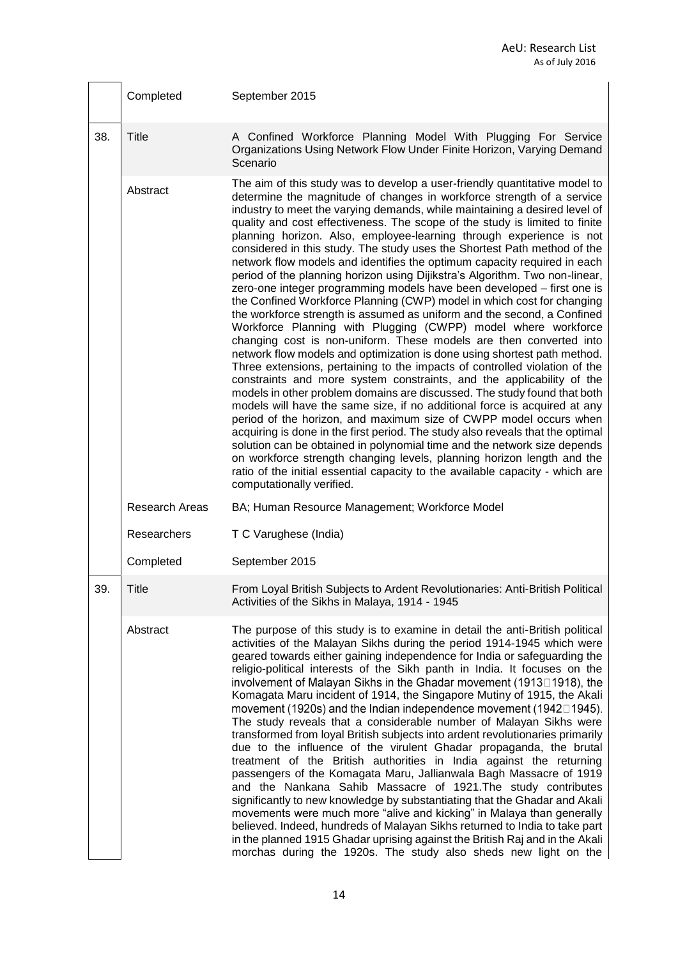|     | Completed      | September 2015                                                                                                                                                                                                                                                                                                                                                                                                                                                                                                                                                                                                                                                                                                                                                                                                                                                                                                                                                                                                                                                                                                                                                                                                                                                                                                                                                                                                                                                                                                                                                                                                                                                                                                                                                                                                              |
|-----|----------------|-----------------------------------------------------------------------------------------------------------------------------------------------------------------------------------------------------------------------------------------------------------------------------------------------------------------------------------------------------------------------------------------------------------------------------------------------------------------------------------------------------------------------------------------------------------------------------------------------------------------------------------------------------------------------------------------------------------------------------------------------------------------------------------------------------------------------------------------------------------------------------------------------------------------------------------------------------------------------------------------------------------------------------------------------------------------------------------------------------------------------------------------------------------------------------------------------------------------------------------------------------------------------------------------------------------------------------------------------------------------------------------------------------------------------------------------------------------------------------------------------------------------------------------------------------------------------------------------------------------------------------------------------------------------------------------------------------------------------------------------------------------------------------------------------------------------------------|
| 38. | <b>Title</b>   | A Confined Workforce Planning Model With Plugging For Service<br>Organizations Using Network Flow Under Finite Horizon, Varying Demand<br>Scenario                                                                                                                                                                                                                                                                                                                                                                                                                                                                                                                                                                                                                                                                                                                                                                                                                                                                                                                                                                                                                                                                                                                                                                                                                                                                                                                                                                                                                                                                                                                                                                                                                                                                          |
|     | Abstract       | The aim of this study was to develop a user-friendly quantitative model to<br>determine the magnitude of changes in workforce strength of a service<br>industry to meet the varying demands, while maintaining a desired level of<br>quality and cost effectiveness. The scope of the study is limited to finite<br>planning horizon. Also, employee-learning through experience is not<br>considered in this study. The study uses the Shortest Path method of the<br>network flow models and identifies the optimum capacity required in each<br>period of the planning horizon using Dijikstra's Algorithm. Two non-linear,<br>zero-one integer programming models have been developed - first one is<br>the Confined Workforce Planning (CWP) model in which cost for changing<br>the workforce strength is assumed as uniform and the second, a Confined<br>Workforce Planning with Plugging (CWPP) model where workforce<br>changing cost is non-uniform. These models are then converted into<br>network flow models and optimization is done using shortest path method.<br>Three extensions, pertaining to the impacts of controlled violation of the<br>constraints and more system constraints, and the applicability of the<br>models in other problem domains are discussed. The study found that both<br>models will have the same size, if no additional force is acquired at any<br>period of the horizon, and maximum size of CWPP model occurs when<br>acquiring is done in the first period. The study also reveals that the optimal<br>solution can be obtained in polynomial time and the network size depends<br>on workforce strength changing levels, planning horizon length and the<br>ratio of the initial essential capacity to the available capacity - which are<br>computationally verified. |
|     | Research Areas | BA; Human Resource Management; Workforce Model                                                                                                                                                                                                                                                                                                                                                                                                                                                                                                                                                                                                                                                                                                                                                                                                                                                                                                                                                                                                                                                                                                                                                                                                                                                                                                                                                                                                                                                                                                                                                                                                                                                                                                                                                                              |
|     | Researchers    | T C Varughese (India)                                                                                                                                                                                                                                                                                                                                                                                                                                                                                                                                                                                                                                                                                                                                                                                                                                                                                                                                                                                                                                                                                                                                                                                                                                                                                                                                                                                                                                                                                                                                                                                                                                                                                                                                                                                                       |
|     | Completed      | September 2015                                                                                                                                                                                                                                                                                                                                                                                                                                                                                                                                                                                                                                                                                                                                                                                                                                                                                                                                                                                                                                                                                                                                                                                                                                                                                                                                                                                                                                                                                                                                                                                                                                                                                                                                                                                                              |
| 39. | <b>Title</b>   | From Loyal British Subjects to Ardent Revolutionaries: Anti-British Political<br>Activities of the Sikhs in Malaya, 1914 - 1945                                                                                                                                                                                                                                                                                                                                                                                                                                                                                                                                                                                                                                                                                                                                                                                                                                                                                                                                                                                                                                                                                                                                                                                                                                                                                                                                                                                                                                                                                                                                                                                                                                                                                             |
|     | Abstract       | The purpose of this study is to examine in detail the anti-British political<br>activities of the Malayan Sikhs during the period 1914-1945 which were<br>geared towards either gaining independence for India or safeguarding the<br>religio-political interests of the Sikh panth in India. It focuses on the<br>involvement of Malayan Sikhs in the Ghadar movement (1913□1918), the<br>Komagata Maru incident of 1914, the Singapore Mutiny of 1915, the Akali<br>movement (1920s) and the Indian independence movement (1942 $\square$ 1945).<br>The study reveals that a considerable number of Malayan Sikhs were<br>transformed from loyal British subjects into ardent revolutionaries primarily<br>due to the influence of the virulent Ghadar propaganda, the brutal<br>treatment of the British authorities in India against the returning<br>passengers of the Komagata Maru, Jallianwala Bagh Massacre of 1919<br>and the Nankana Sahib Massacre of 1921. The study contributes<br>significantly to new knowledge by substantiating that the Ghadar and Akali<br>movements were much more "alive and kicking" in Malaya than generally<br>believed. Indeed, hundreds of Malayan Sikhs returned to India to take part<br>in the planned 1915 Ghadar uprising against the British Raj and in the Akali<br>morchas during the 1920s. The study also sheds new light on the                                                                                                                                                                                                                                                                                                                                                                                                                                       |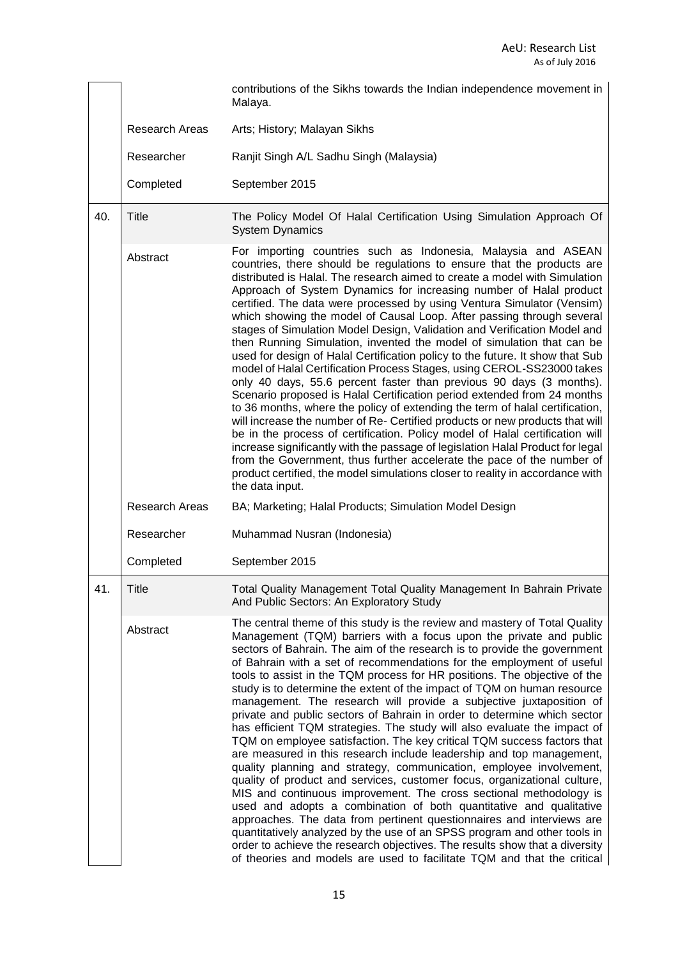|     |                       | contributions of the Sikhs towards the Indian independence movement in<br>Malaya.                                                                                                                                                                                                                                                                                                                                                                                                                                                                                                                                                                                                                                                                                                                                                                                                                                                                                                                                                                                                                                                                                                                                                                                                                                                                                                                                                                             |
|-----|-----------------------|---------------------------------------------------------------------------------------------------------------------------------------------------------------------------------------------------------------------------------------------------------------------------------------------------------------------------------------------------------------------------------------------------------------------------------------------------------------------------------------------------------------------------------------------------------------------------------------------------------------------------------------------------------------------------------------------------------------------------------------------------------------------------------------------------------------------------------------------------------------------------------------------------------------------------------------------------------------------------------------------------------------------------------------------------------------------------------------------------------------------------------------------------------------------------------------------------------------------------------------------------------------------------------------------------------------------------------------------------------------------------------------------------------------------------------------------------------------|
|     | Research Areas        | Arts; History; Malayan Sikhs                                                                                                                                                                                                                                                                                                                                                                                                                                                                                                                                                                                                                                                                                                                                                                                                                                                                                                                                                                                                                                                                                                                                                                                                                                                                                                                                                                                                                                  |
|     | Researcher            | Ranjit Singh A/L Sadhu Singh (Malaysia)                                                                                                                                                                                                                                                                                                                                                                                                                                                                                                                                                                                                                                                                                                                                                                                                                                                                                                                                                                                                                                                                                                                                                                                                                                                                                                                                                                                                                       |
|     | Completed             | September 2015                                                                                                                                                                                                                                                                                                                                                                                                                                                                                                                                                                                                                                                                                                                                                                                                                                                                                                                                                                                                                                                                                                                                                                                                                                                                                                                                                                                                                                                |
| 40. | Title                 | The Policy Model Of Halal Certification Using Simulation Approach Of<br><b>System Dynamics</b>                                                                                                                                                                                                                                                                                                                                                                                                                                                                                                                                                                                                                                                                                                                                                                                                                                                                                                                                                                                                                                                                                                                                                                                                                                                                                                                                                                |
|     | Abstract              | For importing countries such as Indonesia, Malaysia and ASEAN<br>countries, there should be regulations to ensure that the products are<br>distributed is Halal. The research aimed to create a model with Simulation<br>Approach of System Dynamics for increasing number of Halal product<br>certified. The data were processed by using Ventura Simulator (Vensim)<br>which showing the model of Causal Loop. After passing through several<br>stages of Simulation Model Design, Validation and Verification Model and<br>then Running Simulation, invented the model of simulation that can be<br>used for design of Halal Certification policy to the future. It show that Sub<br>model of Halal Certification Process Stages, using CEROL-SS23000 takes<br>only 40 days, 55.6 percent faster than previous 90 days (3 months).<br>Scenario proposed is Halal Certification period extended from 24 months<br>to 36 months, where the policy of extending the term of halal certification,<br>will increase the number of Re- Certified products or new products that will<br>be in the process of certification. Policy model of Halal certification will<br>increase significantly with the passage of legislation Halal Product for legal<br>from the Government, thus further accelerate the pace of the number of<br>product certified, the model simulations closer to reality in accordance with<br>the data input.                              |
|     | <b>Research Areas</b> | BA; Marketing; Halal Products; Simulation Model Design                                                                                                                                                                                                                                                                                                                                                                                                                                                                                                                                                                                                                                                                                                                                                                                                                                                                                                                                                                                                                                                                                                                                                                                                                                                                                                                                                                                                        |
|     | Researcher            | Muhammad Nusran (Indonesia)                                                                                                                                                                                                                                                                                                                                                                                                                                                                                                                                                                                                                                                                                                                                                                                                                                                                                                                                                                                                                                                                                                                                                                                                                                                                                                                                                                                                                                   |
|     | Completed             | September 2015                                                                                                                                                                                                                                                                                                                                                                                                                                                                                                                                                                                                                                                                                                                                                                                                                                                                                                                                                                                                                                                                                                                                                                                                                                                                                                                                                                                                                                                |
| 41. | <b>Title</b>          | Total Quality Management Total Quality Management In Bahrain Private<br>And Public Sectors: An Exploratory Study                                                                                                                                                                                                                                                                                                                                                                                                                                                                                                                                                                                                                                                                                                                                                                                                                                                                                                                                                                                                                                                                                                                                                                                                                                                                                                                                              |
|     | Abstract              | The central theme of this study is the review and mastery of Total Quality<br>Management (TQM) barriers with a focus upon the private and public<br>sectors of Bahrain. The aim of the research is to provide the government<br>of Bahrain with a set of recommendations for the employment of useful<br>tools to assist in the TQM process for HR positions. The objective of the<br>study is to determine the extent of the impact of TQM on human resource<br>management. The research will provide a subjective juxtaposition of<br>private and public sectors of Bahrain in order to determine which sector<br>has efficient TQM strategies. The study will also evaluate the impact of<br>TQM on employee satisfaction. The key critical TQM success factors that<br>are measured in this research include leadership and top management,<br>quality planning and strategy, communication, employee involvement,<br>quality of product and services, customer focus, organizational culture,<br>MIS and continuous improvement. The cross sectional methodology is<br>used and adopts a combination of both quantitative and qualitative<br>approaches. The data from pertinent questionnaires and interviews are<br>quantitatively analyzed by the use of an SPSS program and other tools in<br>order to achieve the research objectives. The results show that a diversity<br>of theories and models are used to facilitate TQM and that the critical |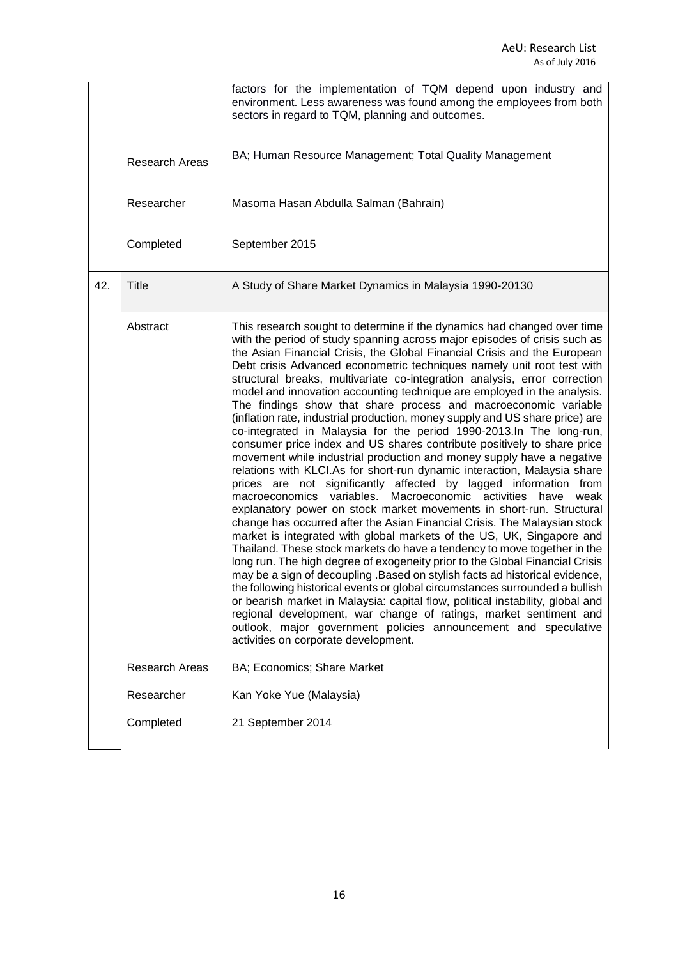|     |                       | factors for the implementation of TQM depend upon industry and<br>environment. Less awareness was found among the employees from both<br>sectors in regard to TQM, planning and outcomes.                                                                                                                                                                                                                                                                                                                                                                                                                                                                                                                                                                                                                                                                                                                                                                                                                                                                                                                                                                                                                                                                                                                                                                                                                                                                                                                                                                                                                                                                                                                                                                                                                                                                                                       |
|-----|-----------------------|-------------------------------------------------------------------------------------------------------------------------------------------------------------------------------------------------------------------------------------------------------------------------------------------------------------------------------------------------------------------------------------------------------------------------------------------------------------------------------------------------------------------------------------------------------------------------------------------------------------------------------------------------------------------------------------------------------------------------------------------------------------------------------------------------------------------------------------------------------------------------------------------------------------------------------------------------------------------------------------------------------------------------------------------------------------------------------------------------------------------------------------------------------------------------------------------------------------------------------------------------------------------------------------------------------------------------------------------------------------------------------------------------------------------------------------------------------------------------------------------------------------------------------------------------------------------------------------------------------------------------------------------------------------------------------------------------------------------------------------------------------------------------------------------------------------------------------------------------------------------------------------------------|
|     | <b>Research Areas</b> | BA; Human Resource Management; Total Quality Management                                                                                                                                                                                                                                                                                                                                                                                                                                                                                                                                                                                                                                                                                                                                                                                                                                                                                                                                                                                                                                                                                                                                                                                                                                                                                                                                                                                                                                                                                                                                                                                                                                                                                                                                                                                                                                         |
|     | Researcher            | Masoma Hasan Abdulla Salman (Bahrain)                                                                                                                                                                                                                                                                                                                                                                                                                                                                                                                                                                                                                                                                                                                                                                                                                                                                                                                                                                                                                                                                                                                                                                                                                                                                                                                                                                                                                                                                                                                                                                                                                                                                                                                                                                                                                                                           |
|     | Completed             | September 2015                                                                                                                                                                                                                                                                                                                                                                                                                                                                                                                                                                                                                                                                                                                                                                                                                                                                                                                                                                                                                                                                                                                                                                                                                                                                                                                                                                                                                                                                                                                                                                                                                                                                                                                                                                                                                                                                                  |
| 42. | Title                 | A Study of Share Market Dynamics in Malaysia 1990-20130                                                                                                                                                                                                                                                                                                                                                                                                                                                                                                                                                                                                                                                                                                                                                                                                                                                                                                                                                                                                                                                                                                                                                                                                                                                                                                                                                                                                                                                                                                                                                                                                                                                                                                                                                                                                                                         |
|     | Abstract              | This research sought to determine if the dynamics had changed over time<br>with the period of study spanning across major episodes of crisis such as<br>the Asian Financial Crisis, the Global Financial Crisis and the European<br>Debt crisis Advanced econometric techniques namely unit root test with<br>structural breaks, multivariate co-integration analysis, error correction<br>model and innovation accounting technique are employed in the analysis.<br>The findings show that share process and macroeconomic variable<br>(inflation rate, industrial production, money supply and US share price) are<br>co-integrated in Malaysia for the period 1990-2013. In The long-run,<br>consumer price index and US shares contribute positively to share price<br>movement while industrial production and money supply have a negative<br>relations with KLCI.As for short-run dynamic interaction, Malaysia share<br>prices are not significantly affected by lagged information from<br>macroeconomics variables. Macroeconomic activities have<br>weak<br>explanatory power on stock market movements in short-run. Structural<br>change has occurred after the Asian Financial Crisis. The Malaysian stock<br>market is integrated with global markets of the US, UK, Singapore and<br>Thailand. These stock markets do have a tendency to move together in the<br>long run. The high degree of exogeneity prior to the Global Financial Crisis<br>may be a sign of decoupling .Based on stylish facts ad historical evidence,<br>the following historical events or global circumstances surrounded a bullish<br>or bearish market in Malaysia: capital flow, political instability, global and<br>regional development, war change of ratings, market sentiment and<br>outlook, major government policies announcement and speculative<br>activities on corporate development. |
|     | <b>Research Areas</b> | BA; Economics; Share Market                                                                                                                                                                                                                                                                                                                                                                                                                                                                                                                                                                                                                                                                                                                                                                                                                                                                                                                                                                                                                                                                                                                                                                                                                                                                                                                                                                                                                                                                                                                                                                                                                                                                                                                                                                                                                                                                     |
|     | Researcher            | Kan Yoke Yue (Malaysia)                                                                                                                                                                                                                                                                                                                                                                                                                                                                                                                                                                                                                                                                                                                                                                                                                                                                                                                                                                                                                                                                                                                                                                                                                                                                                                                                                                                                                                                                                                                                                                                                                                                                                                                                                                                                                                                                         |
|     | Completed             | 21 September 2014                                                                                                                                                                                                                                                                                                                                                                                                                                                                                                                                                                                                                                                                                                                                                                                                                                                                                                                                                                                                                                                                                                                                                                                                                                                                                                                                                                                                                                                                                                                                                                                                                                                                                                                                                                                                                                                                               |